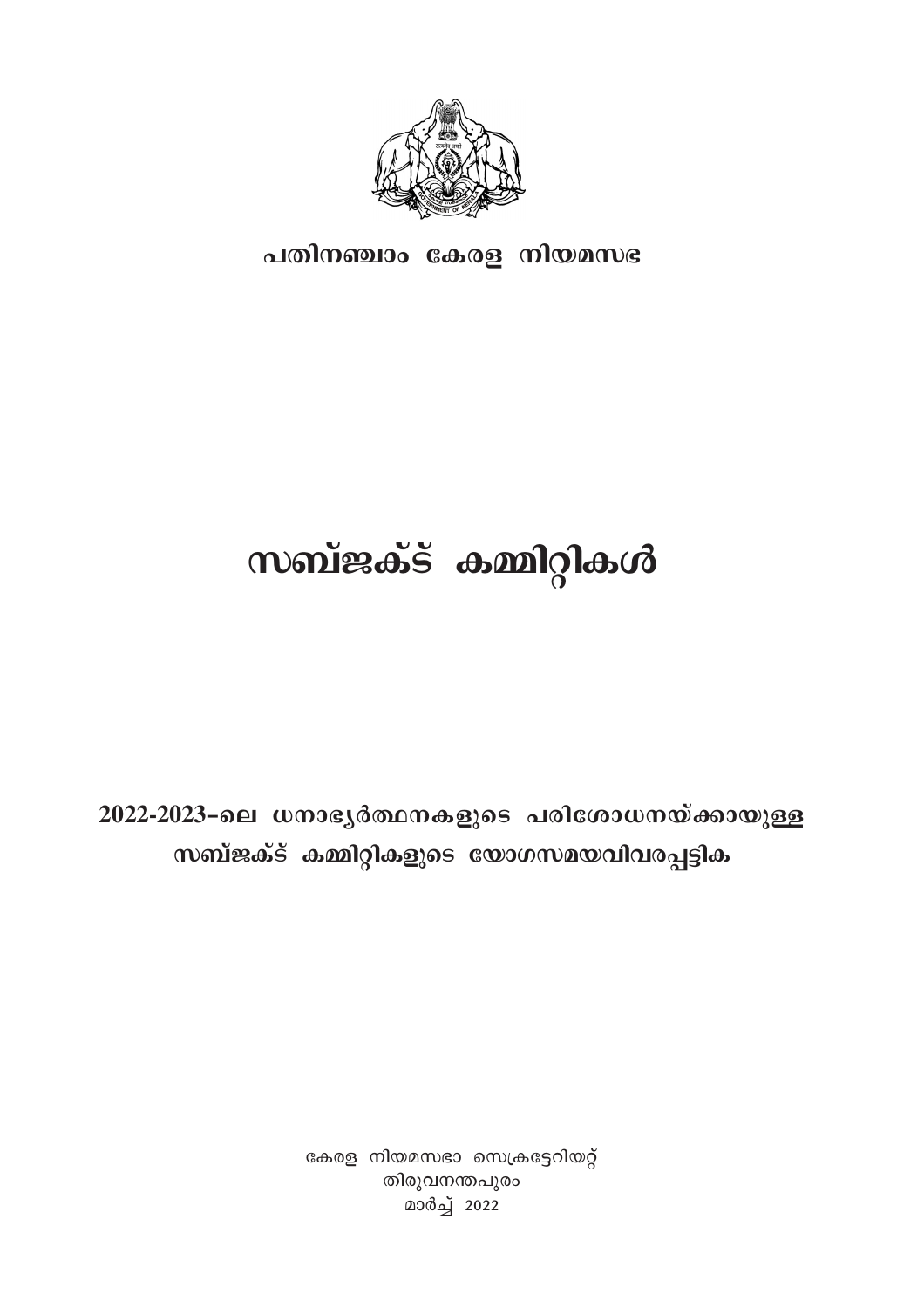

പതിനഞ്ചാം കേരള നിയമസഭ

## **സബ്ജക്ട് കമ്മിറ്റികൾ**

2022-2023-ലെ ധനാഭൃർത്ഥനകളുടെ പരിശോധനയ്ക്കായുള്ള സബ്ജക്ട് കമ്മിറ്റികളുടെ യോഗസമയവിവരപ്പട്ടിക

> കേരള നിയമസഭാ സെക്രട്ടേറിയറ്റ് തിരുവനന്തപുരം മാർച്ച് 2022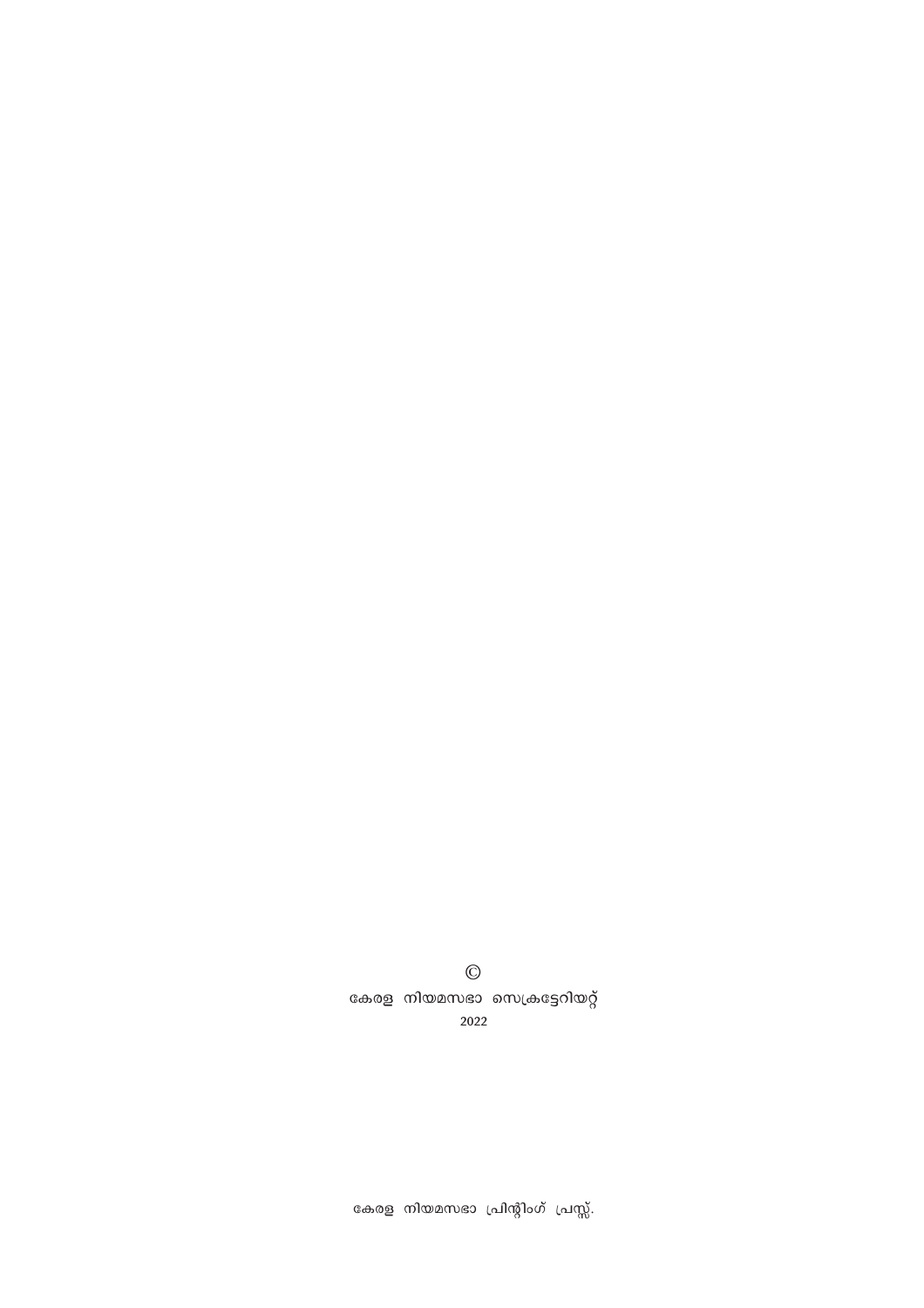$\odot$ കേരള നിയമസഭാ സെക്രട്ടേറിയറ്റ് 2022

കേരള നിയമസഭാ പ്രിന്റിംഗ് പ്രസ്സ്.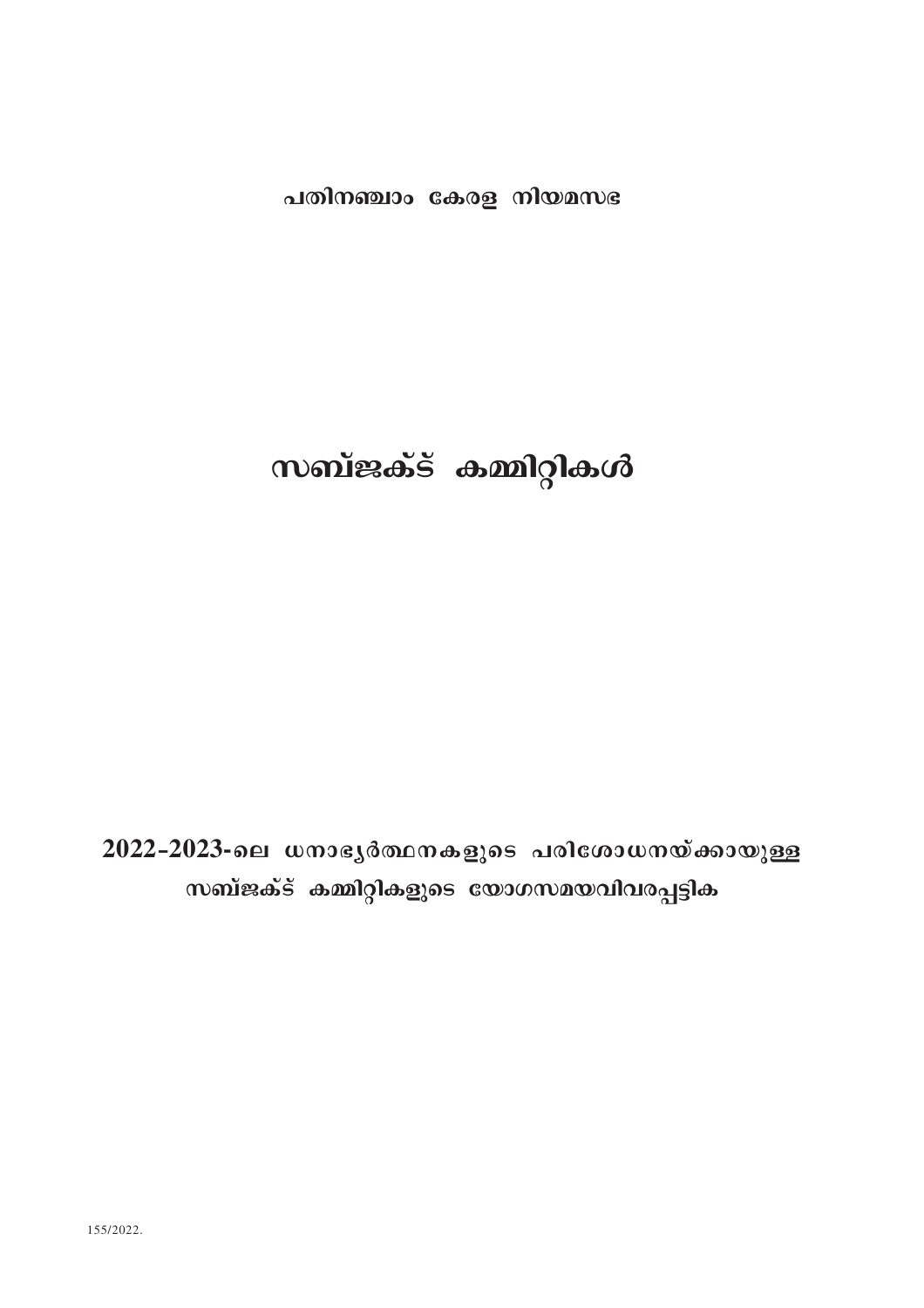### പതിനഞ്ചാം കേരള നിയമസഭ

### സബ്ജക്ട് കമ്മിറ്റികൾ

2022-2023-ലെ ധനാഭൃർത്ഥനകളുടെ പരിശോധനയ്ക്കായുള്ള സബ്ജക്ട് കമ്മിറ്റികളുടെ യോഗസമയവിവരപ്പട്ടിക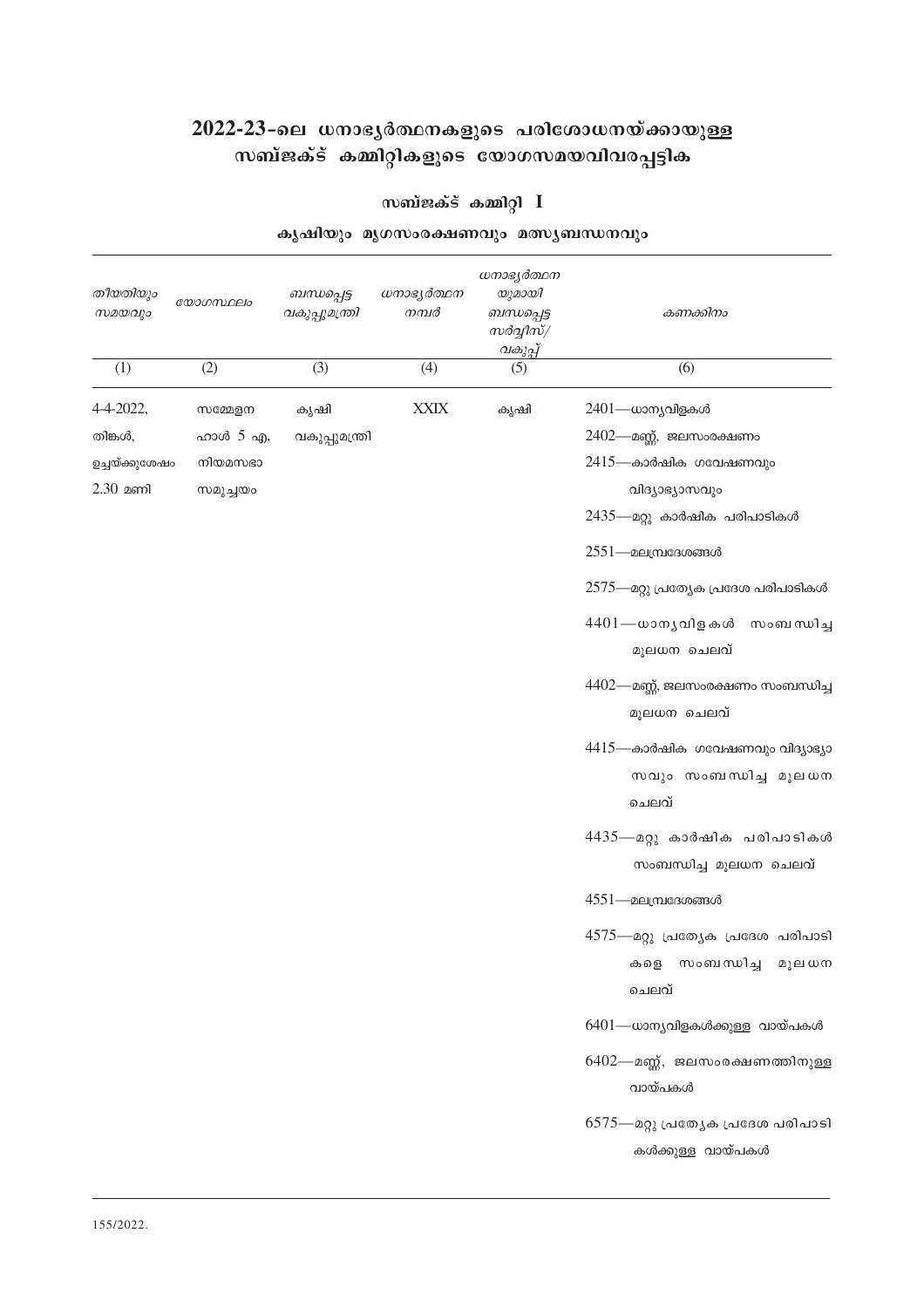# 2022-23-ലെ ധനാഭൃർത്ഥനകളുടെ പരിശോധനയ്ക്കായുള്ള<br>സബ്ജക്ട് കമ്മിറ്റികളുടെ യോഗസമയവിവരപ്പട്ടിക

### സബ്ജക്ട് കമ്മിറ്റി $I$

| കൃഷിയും മൃഗസംരക്ഷണവും മത്സ്യബന്ധനവും |  |
|--------------------------------------|--|
|                                      |  |

| തീയതിയും<br>സമയവും | യോഗസ്ഥലം | ബന്ധപ്പെട്ട<br>വകുപ്പുമന്ത്രി | ധനാഭൃർത്ഥന<br>നമ്പർ | ധനാഭ്യർത്ഥന<br>യുമായി<br>ബന്ധപ്പെട്ട<br>സർവ്വീസ്/<br>വകുപ്പ് | കണക്കിനം                                                            |
|--------------------|----------|-------------------------------|---------------------|--------------------------------------------------------------|---------------------------------------------------------------------|
| (1)                | (2)      | (3)                           | (4)                 | (5)                                                          | (6)                                                                 |
| 4-4-2022,          | സമ്മേളന  | കൃഷി                          | <b>XXIX</b>         | കൃഷി                                                         | 2401—ധാന്യവിളകൾ                                                     |
| തിങ്കൾ,            | ഹാൾ 5 എ, | വകുപ്പുമന്ത്രി                |                     |                                                              | $2402$ —മണ്ണ്, ജലസംരക്ഷണം                                           |
| ഉച്ചയ്ക്കുശേഷം     | നിയമസഭാ  |                               |                     |                                                              | $2415$ —കാർഷിക ഗവേഷണവും                                             |
| $2.30$ മണി         | സമുച്ചയം |                               |                     |                                                              | വിദ്യാഭ്യാസവും                                                      |
|                    |          |                               |                     |                                                              | 2435—മറ്റു കാർഷിക പരിപാടികൾ                                         |
|                    |          |                               |                     |                                                              | $2551$ —മലമ്പ്രദേശങ്ങൾ                                              |
|                    |          |                               |                     |                                                              | 2575—മറ്റു പ്രത്യേക പ്രദേശ പരിപാടികൾ                                |
|                    |          |                               |                     |                                                              | 4401— ധാനൃവിളകൾ സംബന്ധിച്ച<br>മൂലധന ചെലവ്                           |
|                    |          |                               |                     |                                                              | 4402—മണ്ണ്, ജലസംരക്ഷണം സംബന്ധിച്ച<br>മൂലധന ചെലവ്                    |
|                    |          |                               |                     |                                                              | 4415—കാർഷിക ഗവേഷണവും വിദ്യാഭ്യാ<br>സവും സംബന്ധിച്ച മൂലധന<br>ചെലവ്   |
|                    |          |                               |                     |                                                              | 4435— മറ്റു കാർഷിക പരിപാടികൾ<br>സംബന്ധിച്ച മൂലധന ചെലവ്              |
|                    |          |                               |                     |                                                              | $4551$ —മലമ്പ്രദേശങ്ങൾ                                              |
|                    |          |                               |                     |                                                              | 4575—മറ്റു പ്രത്യേക പ്രദേശ പരിപാടി<br>കളെ സംബന്ധിച്ച മൂലധന<br>ചെലവ് |
|                    |          |                               |                     |                                                              | 6401—ധാന്യവിളകൾക്കുള്ള വായ്പകൾ                                      |
|                    |          |                               |                     |                                                              | 6402—മണ്ണ്, ജലസംരക്ഷണത്തിനുള്ള<br>വായ്പകൾ                           |
|                    |          |                               |                     |                                                              | 6575—മറ്റു പ്രത്യേക പ്രദേശ പരിപാടി<br>കൾക്കുള്ള വായ്പകൾ             |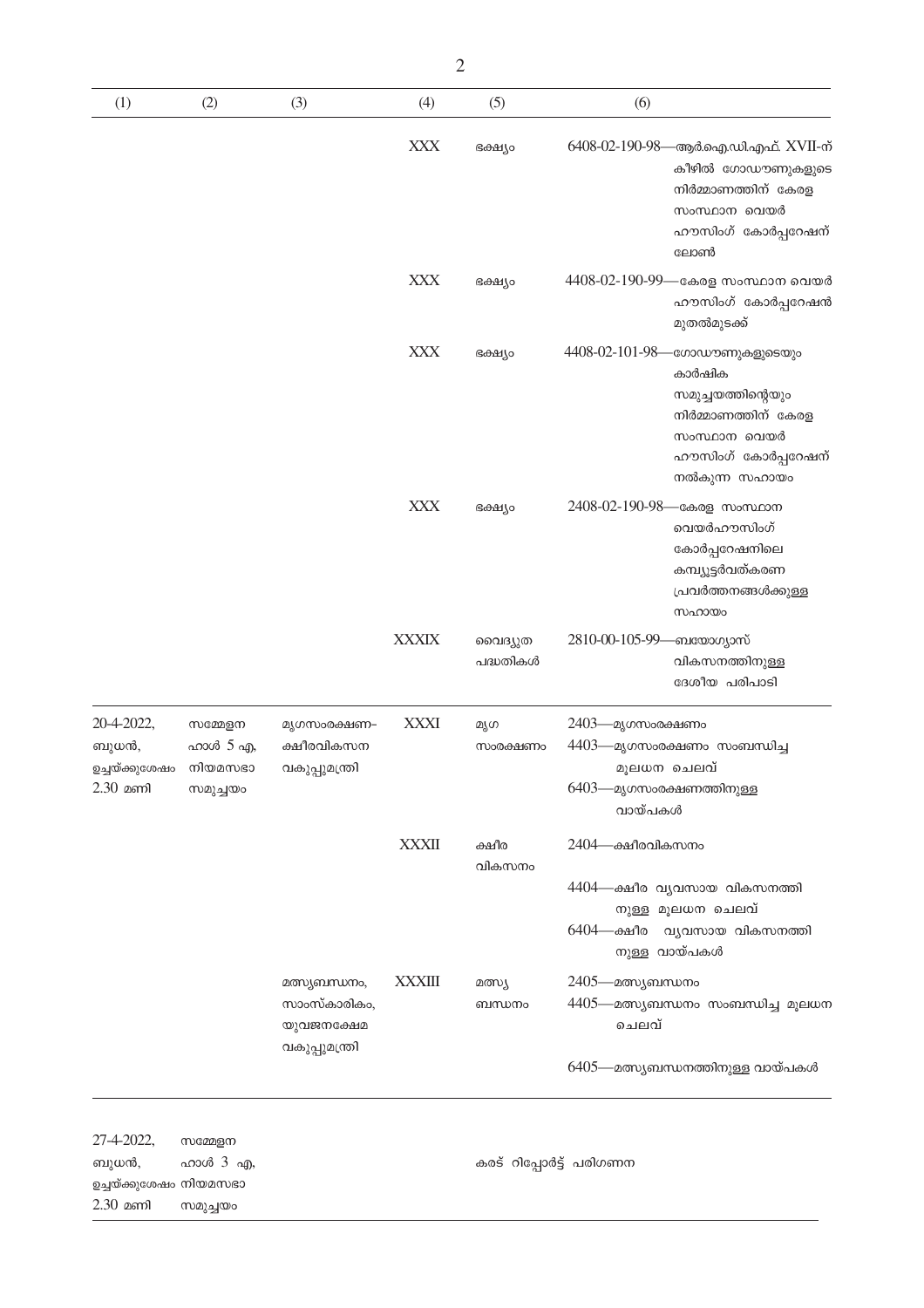| (1)                                                         | (2)                                        | (3)                                                           | (4)           | (5)                 | (6)                                                                                                                                                             |
|-------------------------------------------------------------|--------------------------------------------|---------------------------------------------------------------|---------------|---------------------|-----------------------------------------------------------------------------------------------------------------------------------------------------------------|
|                                                             |                                            |                                                               | <b>XXX</b>    | ഭക്ഷ്യം             | 6408-02-190-98—ആർ.ഐ.ഡി.എഫ്. XVII-ന്<br>കീഴിൽ ഗോഡൗണുകളുടെ<br>നിർമ്മാണത്തിന് കേരള<br>സംസ്ഥാന വെയർ<br>ഹൗസിംഗ് കോർപ്പറേഷന്<br>ലോൺ                                   |
|                                                             |                                            |                                                               | <b>XXX</b>    | ഭക്ഷ്യം             | 4408-02-190-99—കേരള സംസ്ഥാന വെയർ<br>ഹൗസിംഗ് കോർപ്പറേഷൻ<br>മുതൽമുടക്ക്                                                                                           |
|                                                             |                                            |                                                               | <b>XXX</b>    | ഭക്ഷ്യം             | 4408-02-101-98-<br>-ഗോഡൗണുകളുടെയു <mark>ം</mark><br>കാർഷിക<br>സമുച്ചയത്തിന്റെയും<br>നിർമ്മാണത്തിന് കേരള<br>സംസ്ഥാന വെയർ<br>ഹൗസിംഗ് കോർപ്പറേഷന്<br>നൽകുന്ന സഹായം |
|                                                             |                                            |                                                               | <b>XXX</b>    | ഭക്ഷ്യം             | 2408-02-190-98- കേരള സംസ്ഥാന<br>വെയർഹൗസിംഗ്<br>കോർപ്പറേഷനിലെ<br>കമ്പ്യൂട്ടർവത്കരണ<br>പ്രവർത്തനങ്ങൾക്കുള്ള<br>സഹായം                                              |
|                                                             |                                            |                                                               | <b>XXXIX</b>  | വൈദ്യുത<br>പദ്ധതികൾ | 2810-00-105-99—ബയോഗ്യാസ്<br>വികസനത്തിനുള്ള<br>ദേശീയ പരിപാടി                                                                                                     |
| 20-4-2022,<br>ബുധൻ,<br>ഉച്ചയ്ക്കുശേഷം<br>$2.30$ മണി         | സമ്മേളന<br>ഹാൾ 5 എ,<br>നിയമസഭാ<br>സമുച്ചയം | മൃഗസംരക്ഷണ-<br>ക്ഷീരവികസന<br>വകുപ്പുമന്ത്രി                   | <b>XXXI</b>   | മൃഗ<br>സംരക്ഷണം     | 2403- മൃഗസംരക്ഷണം<br>4403- മൃഗസംരക്ഷണം സംബന്ധിച്ച<br>മുലധന ചെലവ്<br>6403—മൃഗസംരക്ഷണത്തിനുള്ള<br>വായ്പകൾ                                                         |
|                                                             |                                            |                                                               | <b>XXXII</b>  | ക്ഷീര<br>വികസനം     | 2404—ക്ഷീരവികസനം<br>4404—ക്ഷീര വ്യവസായ വികസനത്തി<br>നുള്ള മൂലധന ചെലവ്<br>6404—ക്ഷീര വ്യവസായ വികസനത്തി                                                           |
|                                                             |                                            | മത്സ്യബന്ധനം,<br>സാംസ്കാരികം,<br>യുവജനക്ഷേമ<br>വകുപ്പുമന്ത്രി | <b>XXXIII</b> | മത്സ്യ<br>ബന്ധനം    | നുള്ള വായ്പകൾ<br>2405—മത്സ്യബന്ധനം<br>4405—മത്സ്യബന്ധനം സംബന്ധിച്ച മൂലധന<br>ചെലവ്<br>6405—മത്സ്യബന്ധനത്തിനുള്ള വായ്പകൾ                                          |
| 27-4-2022,<br>ബുധൻ,<br>ഉച്ചയ്ക്കുശേഷം നിയമസഭാ<br>$2.30$ മണി | സമ്മേളന<br>ഹാൾ 3 എ,<br>സമുച്ചയം            |                                                               |               |                     | കരട് റിപ്പോർട്ട് പരിഗണന                                                                                                                                         |

 $\overline{c}$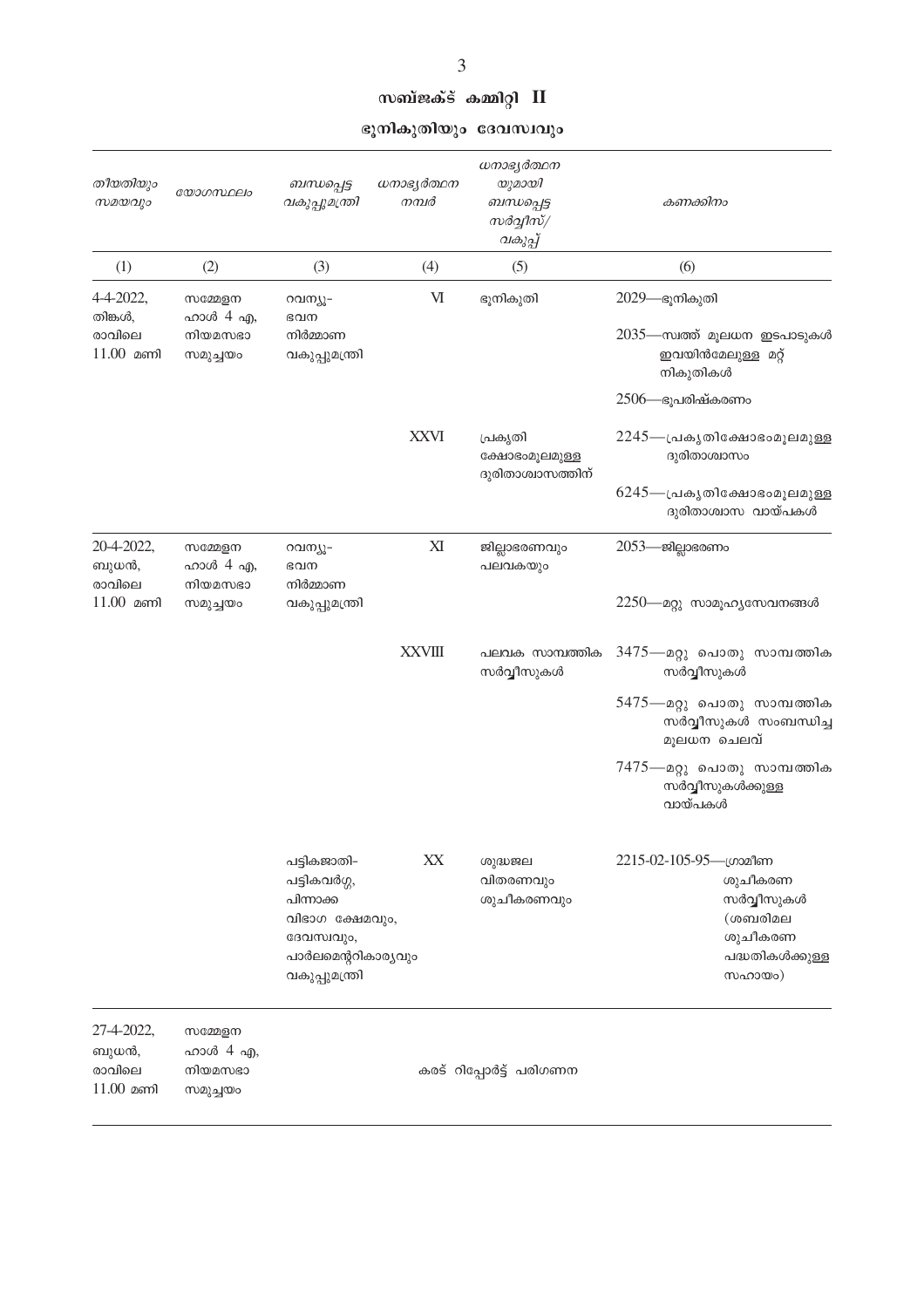| സബ്ജക്ട് കമ്മിറ്റി II |  |  |
|-----------------------|--|--|
|-----------------------|--|--|

ഭൂനികുതിയും ദേവസ്ഥ്യ<mark>ാ</mark>

| തീയതിയും<br>സമയവും                            | യോഗസ്ഥലം                                   | ബന്ധപ്പെട്ട<br>വകുപ്പുമന്ത്രി                                                                                     | ധനാഭ്യർത്ഥന<br>നമ്പർ | ധനാഭ്യർത്ഥന<br>യുമായി<br>ബന്ധപ്പെട്ട<br>സർവ്വീസ്/<br>വകുപ്പ് | കണക്കിനം                                                                                                                                                                     |
|-----------------------------------------------|--------------------------------------------|-------------------------------------------------------------------------------------------------------------------|----------------------|--------------------------------------------------------------|------------------------------------------------------------------------------------------------------------------------------------------------------------------------------|
| (1)                                           | (2)                                        | (3)                                                                                                               | (4)                  | (5)                                                          | (6)                                                                                                                                                                          |
| 4-4-2022,<br>തിങ്കൾ,<br>രാവിലെ<br>$11.00$ മണി | സമ്മേളന<br>ഹാൾ 4 എ,<br>നിയമസഭാ<br>സമുച്ചയം | റവന്യൂ-<br>ഭവന<br>നിർമ്മാണ<br>വകുപ്പുമന്ത്രി                                                                      | M                    | ഭൂനികുതി                                                     | 2029—ഭൂനികുതി<br>2035—സ്വത്ത് മൂലധന ഇടപാടുകൾ<br>ഇവയിൻമേലുള്ള മറ്റ്<br>നികുതികൾ<br>$2506$ —ഭൂപരിഷ്കരണം                                                                        |
|                                               |                                            |                                                                                                                   | <b>XXVI</b>          | പ്രകൃതി<br>ക്ഷോഭംമൂലമുള്ള<br>ദുരിതാശ്വാസത്തിന്               | $2245$ —പ്രകൃതിക്ഷോഭംമൂലമുള്ള<br>ദുരിതാശ്വാസം<br>$6245$ —പ്രകൃതിക്ഷോഭംമൂലമുള്ള<br>ദുരിതാശ്വാസ വായ്പകൾ                                                                        |
| 20-4-2022,<br>ബുധൻ,<br>രാവിലെ<br>$11.00$ മണി  | സമ്മേളന<br>ഹാൾ 4 എ,<br>നിയമസഭാ<br>സമുച്ചയം | റവന്യൂ-<br>ഭവന<br>നിർമ്മാണ<br>വകുപ്പുമന്ത്രി                                                                      | XI                   | ജില്ലാഭരണവും<br>പലവകയും                                      | 2053— ജില്ലാഭരണം<br>2250—മറ്റു സാമൂഹ്യസേവനങ്ങൾ                                                                                                                               |
|                                               |                                            |                                                                                                                   | <b>XXVIII</b>        | പലവക സാമ്പത്തിക<br>സർവ്വീസുകൾ                                | 3475—മറ്റു പൊതു സാമ്പത്തിക<br>സർവ്വീസുകൾ<br>5475—മറ്റു പൊതു സാമ്പത്തിക<br>സർവ്വീസുകൾ സംബന്ധിച്ച<br>മൂലധന ചെലവ്<br>7475—മറ്റു പൊതു സാമ്പത്തിക<br>സർവ്വീസുകൾക്കുള്ള<br>വായ്പകൾ |
|                                               |                                            | പട്ടികജാതി-<br>പട്ടികവർഗ്ഗ,<br>പിന്നാക്ക<br>വിഭാഗ ക്ഷേമവും,<br>ദേവസ്ഥും,<br>പാർലമെന്ററികാര്യവും<br>വകുപ്പുമന്ത്രി | XX                   | ശുദ്ധജല<br>വിതരണവും<br>ശുചീകരണവും                            | 2215-02-105-95—ഗ്രാമീണ<br>ശുചീകരണ<br>സർവ്വീസുകൾ<br>(ശബരിമല<br>ശുചീകരണ<br>പദ്ധതികൾക്കുള്ള<br>സഹായം)                                                                           |
| 27-4-2022,<br>ബുധൻ,<br>രാവിലെ<br>$11.00$ മണി  | സമ്മേളന<br>ഹാൾ 4 എ,<br>നിയമസഭാ<br>സമുച്ചയം | കരട് റിപ്പോർട്ട് പരിഗണന                                                                                           |                      |                                                              |                                                                                                                                                                              |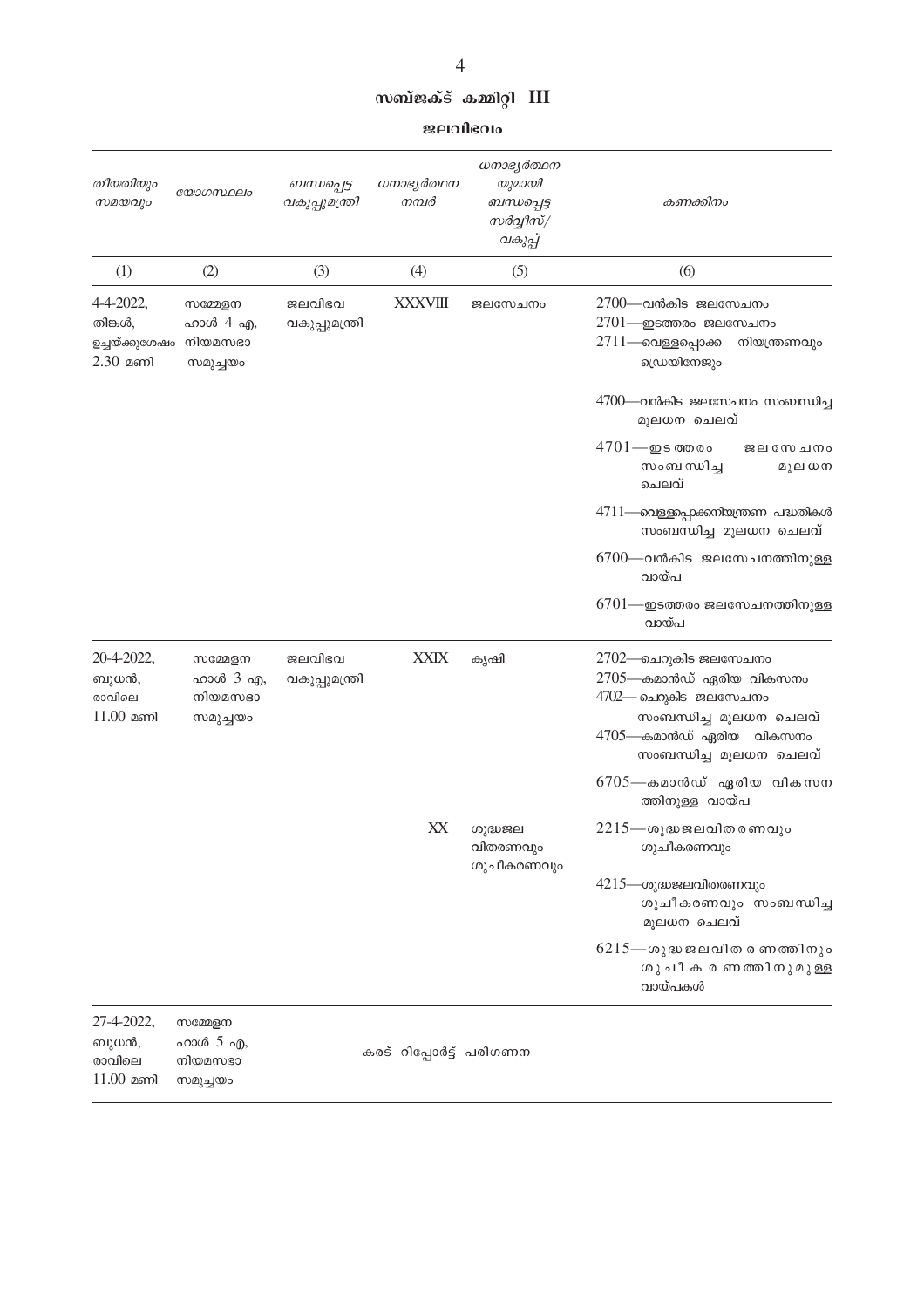#### സബ്ജക്ട് കമ്മിറ്റി **III**

ജലവിഭവം

| തീയതിയും<br>സമയവും                                   | യോഗസ്ഥലം                                   | ബന്ധപ്പെട്ട<br>വകുപ്പുമന്ത്രി | ധനാഭ്യർത്ഥന<br>നമ്പർ    | ധനാഭ്യർത്ഥന<br>യുമായി<br>ബന്ധപ്പെട്ട<br>സർവ്വീസ്/<br>വകുപ്പ് | കണക്കിനം                                                                                                                                                |
|------------------------------------------------------|--------------------------------------------|-------------------------------|-------------------------|--------------------------------------------------------------|---------------------------------------------------------------------------------------------------------------------------------------------------------|
| (1)                                                  | (2)                                        | (3)                           | (4)                     | (5)                                                          | (6)                                                                                                                                                     |
| 4-4-2022,<br>തിങ്കൾ,<br>ഉച്ചയ്ക്കുശേഷം<br>$2.30$ മണി | സമ്മേളന<br>ഹാൾ 4 എ,<br>നിയമസഭാ<br>സമുച്ചയം | ജലവിഭവ<br>വകുപ്പുമന്ത്രി      | <b>XXXVIII</b>          | ജലസേചനം                                                      | $2700$ —വൻകിട ജലസേചനം<br>$2701$ —ഇടത്തരം ജലസേചനം<br>2711—വെള്ളപ്പൊക്ക<br>നിയന്ത്രണവും<br>ഡ്രെയിനേജും                                                    |
|                                                      |                                            |                               |                         |                                                              | $4700$ —വൻകിട ജലസേചനം സംബന്ധിച്ച<br>മൂലധന ചെലവ്                                                                                                         |
|                                                      |                                            |                               |                         |                                                              | $4701 - \underline{m}$ ട ത്ത രം<br>ജലസേചനം<br>സംബന്ധിച്ച<br>മൂല ധന<br>ചെലവ്                                                                             |
|                                                      |                                            |                               |                         |                                                              | 4711—വെള്ളപ്പെറ്റക്കനിയന്ത്രണ പദ്ധതികൾ<br>സംബന്ധിച്ച മൂലധന ചെലവ്                                                                                        |
|                                                      |                                            |                               |                         |                                                              | $6700$ —വൻകിട ജലസേചനത്തിനുള്ള<br>വായ്പ                                                                                                                  |
|                                                      |                                            |                               |                         |                                                              | $6701$ —ഇടത്തരം ജലസേചനത്തിനുള്ള<br>വായ്പ                                                                                                                |
| 20-4-2022,<br>ബുധൻ,<br>രാവിലെ<br>$11.00$ മണി         | സമ്മേളന<br>ഹാൾ 3 എ,<br>നിയമസഭാ<br>സമുച്ചയം | ജലവിഭവ<br>വകുപ്പുമന്ത്രി      | <b>XXIX</b>             | കൃഷി                                                         | 2702—ചെറുകിട ജലസേചനം<br>2705—കമാൻഡ് ഏരിയ വികസനം<br>4702— ചെറുകിട ജലസേചനം<br>സംബന്ധിച്ച മൂലധന ചെലവ്<br>4705—കമാൻഡ് ഏരിയ വികസനം<br>സംബന്ധിച്ച മൂലധന ചെലവ് |
|                                                      |                                            |                               |                         |                                                              | 6705—കമാൻഡ് ഏരിയ വികസന<br>ത്തിനുള്ള വായ്പ                                                                                                               |
|                                                      |                                            |                               | XX                      | ശുദ്ധജല<br>വിതരണവും                                          | $2215$ —ശുദ്ധജലവിതരണവും<br>ശുചീകരണവും                                                                                                                   |
|                                                      |                                            |                               |                         | ശുചീകരണവും                                                   | $4215$ —ശുദ്ധജലവിതരണവും<br>ശുചീകരണവും സംബന്ധിച്ച<br>മൂലധന ചെലവ്                                                                                         |
|                                                      |                                            |                               |                         |                                                              | $6215$ —ശുദ്ധ ജലവിത രണത്തിനും<br>ശുചീകരണത്തിനുമുള്ള<br>വായ്പകൾ                                                                                          |
| 27-4-2022,<br>ബുധൻ,<br>രാവിലെ                        | സമ്മേളന<br>ഹാൾ 5 എ,<br>നിയമസഭാ             |                               | കരട് റിപ്പോർട്ട് പരിഗണന |                                                              |                                                                                                                                                         |

 $11.00$  മണി സമുച്ചയം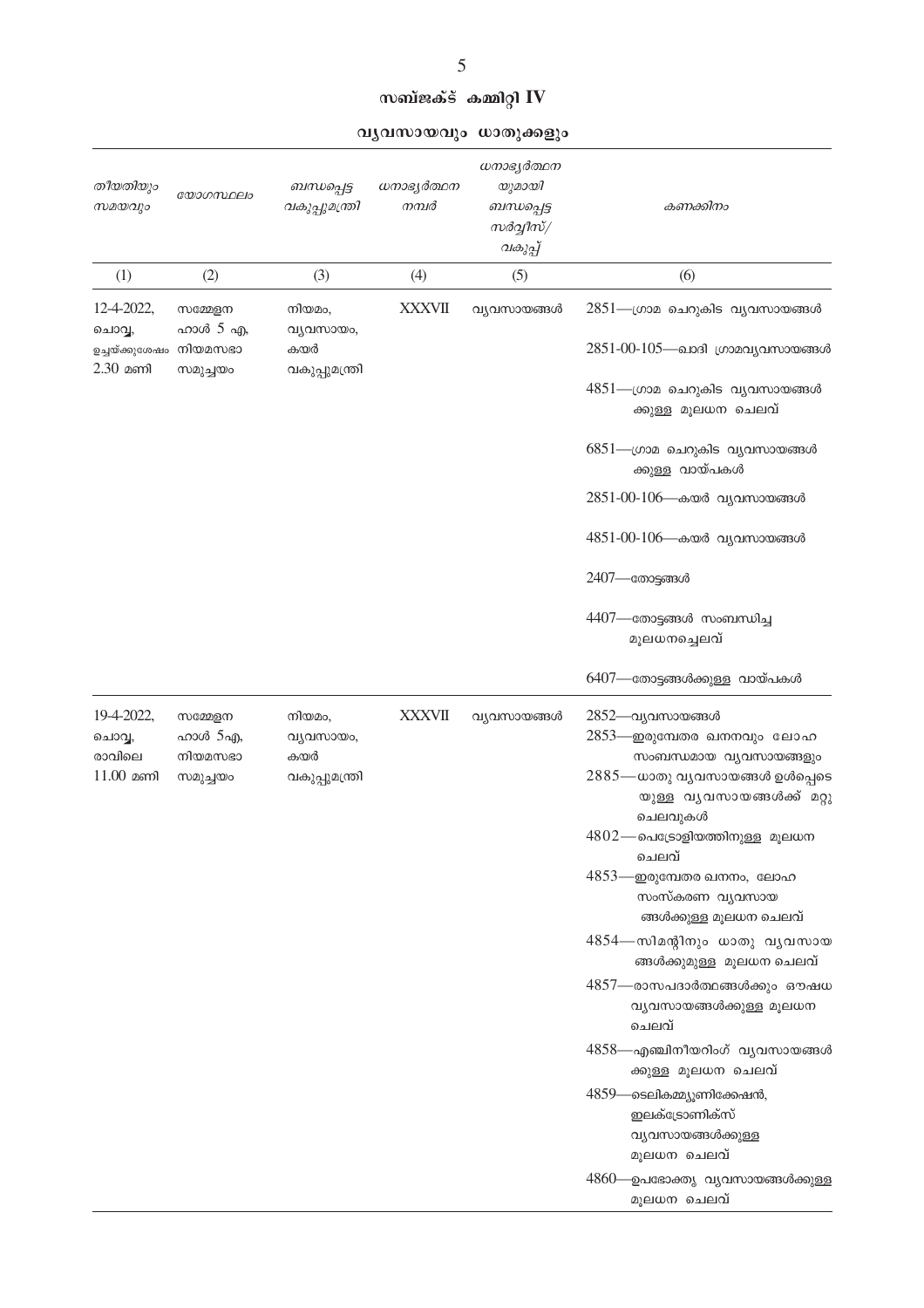സബ്ജക്ട് കമ്മിറ്റി $\mathbf{IV}$ 

വൃവസായവും ധാതുക്കളും

| തീയതിയും<br>സമയവും                                   | യോഗസ്ഥലം                                   | ബന്ധപ്പെട്ട<br>വകുപ്പുമന്ത്രി                | ധനാഭ്യർത്ഥന<br>നമ്പർ | ധനാഭൃർത്ഥന<br>യുമായി<br>ബന്ധപ്പെട്ട<br>സർവ്വീസ്/<br>വകുപ്പ് | കണക്കിനം                                                                                                                                                                                                                                                                                                                                                                                                                                                                                                                                                                                                                                             |
|------------------------------------------------------|--------------------------------------------|----------------------------------------------|----------------------|-------------------------------------------------------------|------------------------------------------------------------------------------------------------------------------------------------------------------------------------------------------------------------------------------------------------------------------------------------------------------------------------------------------------------------------------------------------------------------------------------------------------------------------------------------------------------------------------------------------------------------------------------------------------------------------------------------------------------|
| (1)                                                  | (2)                                        | (3)                                          | (4)                  | (5)                                                         | (6)                                                                                                                                                                                                                                                                                                                                                                                                                                                                                                                                                                                                                                                  |
| 12-4-2022,<br>ചൊവ്വ,<br>ഉച്ചയ്ക്കുശേഷം<br>$2.30$ മണി | സമ്മേളന<br>ഹാൾ 5 എ,<br>നിയമസഭാ<br>സമുച്ചയം | നിയമം,<br>വ്യവസായം,<br>കയർ<br>വകുപ്പുമന്ത്രി | <b>XXXVII</b>        | വ്യവസായങ്ങൾ                                                 | 2851—ഗ്രാമ ചെറുകിട വ്യവസായങ്ങൾ<br>2851-00-105—ഖാദി ഗ്രാമവൃവസായങ്ങൾ<br>4851—ഗ്രാമ ചെറുകിട വ്യവസായങ്ങൾ<br>ക്കുള്ള മൂലധന ചെലവ്<br>6851—ഗ്രാമ ചെറുകിട വ്യവസായങ്ങൾ<br>ക്കുള്ള വായ്പകൾ<br>2851-00-106—കയർ വ്യവസായങ്ങൾ<br>4851-00-106—കയർ വ്യവസായങ്ങൾ<br>2407—തോട്ടങ്ങൾ<br>4407—തോട്ടങ്ങൾ സംബന്ധിച്ച<br>മൂലധനച്ചെലവ്                                                                                                                                                                                                                                                                                                                                        |
| 19-4-2022,<br>ചൊവ്വ,<br>രാവിലെ<br>$11.00$ മണി        | സമ്മേളന<br>ഹാൾ 5എ,<br>നിയമസഭാ<br>സമുച്ചയം  | നിയമം,<br>വ്യവസായം,<br>കയർ<br>വകുപ്പുമന്ത്രി | <b>XXXVII</b>        | വ്യവസായങ്ങൾ                                                 | 6407—തോട്ടങ്ങൾക്കുള്ള വായ്പകൾ<br>2852—വ്യവസായങ്ങൾ<br>2853—ഇരുമ്പേതര ഖനനവും ലോഹ<br>സംബന്ധമായ വ്യവസായങ്ങളും<br>$2885$ — ധാതു വൃവസായങ്ങൾ ഉൾപ്പെടെ<br>യുള്ള വൃവസായങ്ങൾക്ക് മറ്റു<br>ചെലവുകൾ<br>$4802$ —പെട്രോളിയത്തിനുള്ള മൂലധന<br>ചെലവ്<br>$4853$ —ഈ രുമ്പേതര ഖനനം, ലോഹ<br>സംസ്കരണ വ്യവസായ<br>ങ്ങൾക്കുള്ള മൂലധന ചെലവ്<br>4854—സിമന്റിനും ധാതു വ്യവസായ<br>ങ്ങൾക്കുമുള്ള മൂലധന ചെലവ്<br>4857—രാസപദാർത്ഥങ്ങൾക്കും ഔഷധ<br>വ്യവസായങ്ങൾക്കുള്ള മൂലധന<br>ചെലവ്<br>4858—എഞ്ചിനീയറിംഗ് വ്യവസായങ്ങൾ<br>ക്കുള്ള മൂലധന ചെലവ്<br>4859—ടെലികമ്മ്യൂണിക്കേഷൻ,<br>ഇലക്ട്രോണിക്സ്<br>വ്യവസായങ്ങൾക്കുള്ള<br>മൂലധന ചെലവ്<br>4860—ഉപഭോക്തൃ വ്യവസായങ്ങൾക്കുള്ള<br>മൂലധന ചെലവ് |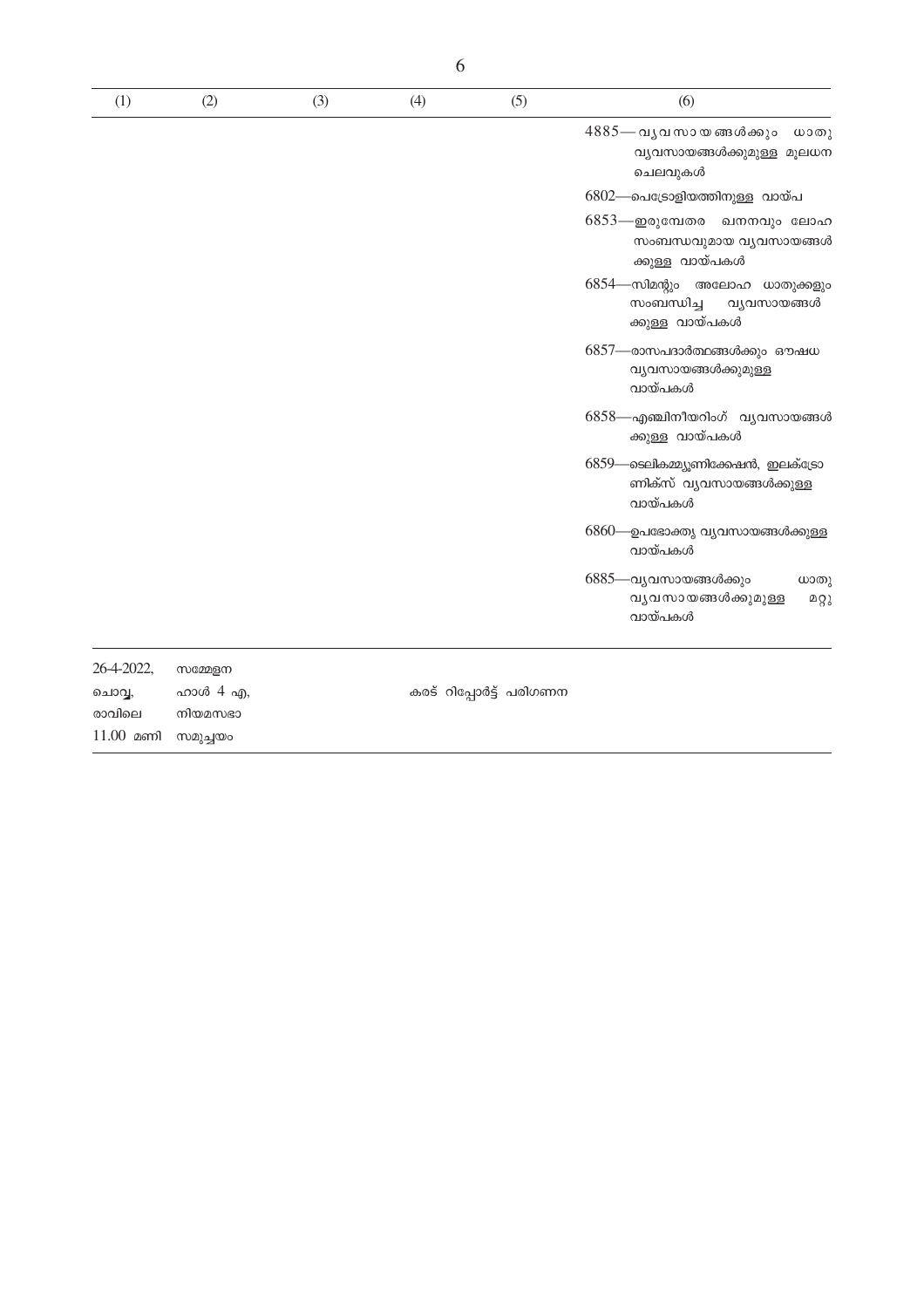| (1)        | (2)      | (3) | (4) | (5)                     | (6)                                                                           |
|------------|----------|-----|-----|-------------------------|-------------------------------------------------------------------------------|
|            |          |     |     |                         | $4885$ — വൃവസായങ്ങൾക്കും<br>ധാതു<br>വ്യവസായങ്ങൾക്കുമുള്ള മൂലധന<br>ചെലവുകൾ     |
|            |          |     |     |                         | 6802—പെട്രോളിയത്തിനുള്ള വായ്പ                                                 |
|            |          |     |     |                         | $6853$ —ഇരുമ്പേതര<br>ഖനനവും ലോഹ<br>സംബന്ധവുമായ വ്യവസായങ്ങൾ<br>ക്കുള്ള വായ്പകൾ |
|            |          |     |     |                         | 6854—സിമന്റും അലോഹ ധാതുക്കളും<br>സംബന്ധിച്ച<br>വ്യവസായങ്ങൾ<br>ക്കുള്ള വായ്പകൾ |
|            |          |     |     |                         | 6857—രാസപദാർത്ഥങ്ങൾക്കും ഔഷധ<br>വ്യവസായങ്ങൾക്കുമുള്ള<br>വായ്പകൾ               |
|            |          |     |     |                         | 6858—എഞ്ചിനീയറിംഗ് വ്യവസായങ്ങൾ<br>ക്കുള്ള വായ്പകൾ                             |
|            |          |     |     |                         | 6859—ടെലികമ്മ്യൂണിക്കേഷൻ, ഇലക്ട്രോ<br>ണിക്സ് വൃവസായങ്ങൾക്കുള്ള<br>വായ്പകൾ     |
|            |          |     |     |                         | 6860—ഉപഭോക്തൃ വ്യവസായങ്ങൾക്കുള്ള<br>വായ്പകൾ                                   |
|            |          |     |     |                         | 6885—വൃവസായങ്ങൾക്കും<br>ധാതു<br>വ്യവസായങ്ങൾക്കുമുള്ള<br>മറ്റു<br>വായ്പകൾ      |
| 26-4-2022, | സമ്മേളന  |     |     |                         |                                                                               |
| ചൊവ്വ,     | ഹാൾ 4 എ, |     |     | കരട് റിപ്പോർട്ട് പരിഗണന |                                                                               |
| രാവിലെ     | നിയമസഭാ  |     |     |                         |                                                                               |

 $11.00$  മണി സമുച്ചയം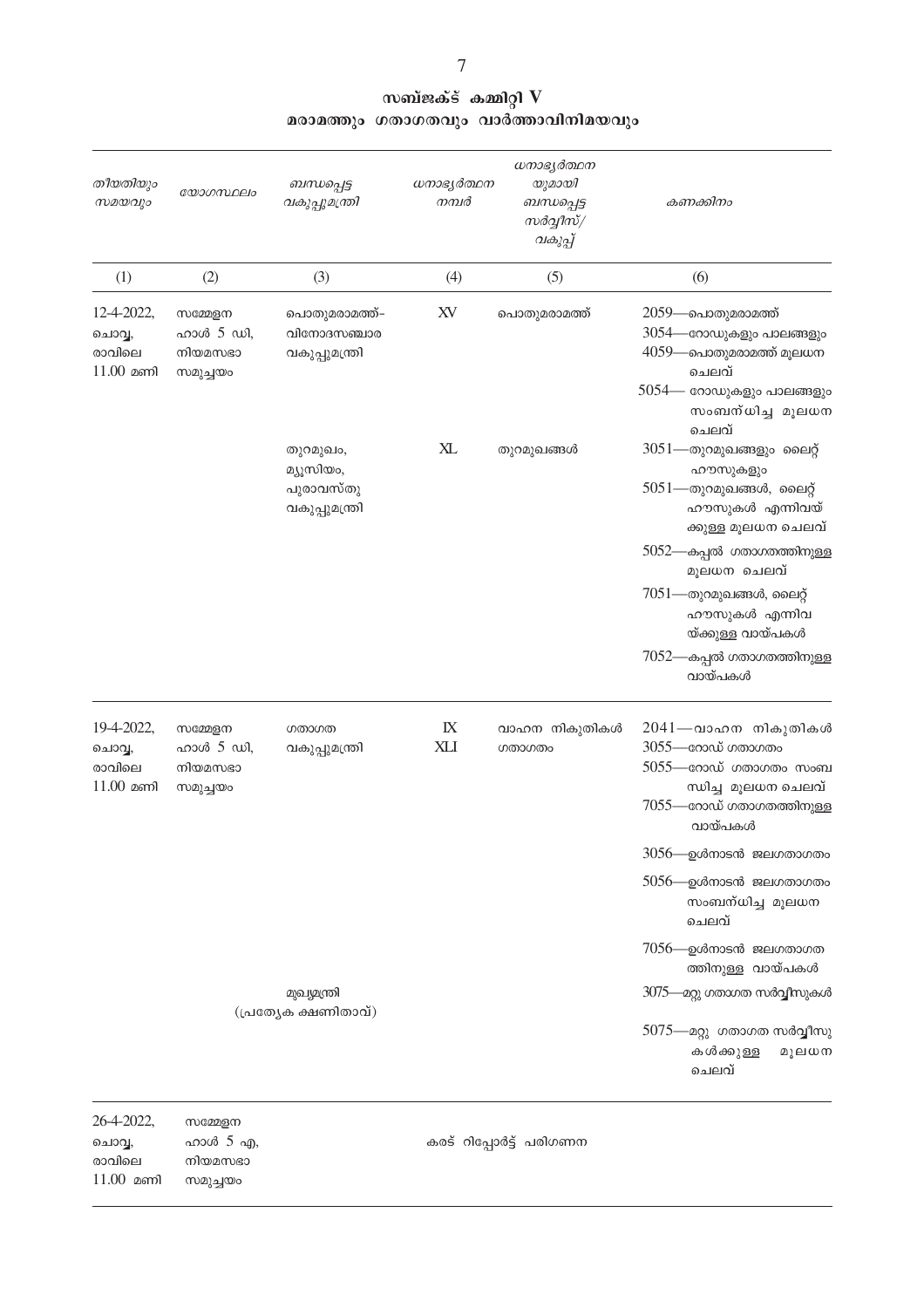| തീയതിയും<br>സമയവും                            | യോഗസ്ഥലം                                    | ബന്ധപ്പെട്ട<br>വകുപ്പുമന്ത്രി                        | ധനാഭ്യർത്ഥന<br>നമ്പർ | ധനാഭ്യർത്ഥന<br>യുമായി<br>ബന്ധപ്പെട്ട<br>സർവ്വീസ്/<br>വകുപ്പ് | കണക്കിനം                                                                                                                                                                                                                                                                            |
|-----------------------------------------------|---------------------------------------------|------------------------------------------------------|----------------------|--------------------------------------------------------------|-------------------------------------------------------------------------------------------------------------------------------------------------------------------------------------------------------------------------------------------------------------------------------------|
| (1)                                           | (2)                                         | (3)                                                  | (4)                  | (5)                                                          | (6)                                                                                                                                                                                                                                                                                 |
| 12-4-2022,<br>ചൊവ്വ,<br>രാവിലെ<br>$11.00$ മണി | സമ്മേളന<br>ഹാൾ 5 ഡി,<br>നിയമസഭാ<br>സമുച്ചയം | പൊതുമരാമത്ത്–<br>വിനോദസഞ്ചാര<br>വകുപ്പുമന്ത്രി       | XV                   | പൊതുമരാമത്ത്                                                 | 2059—പൊതുമരാമത്ത്<br>3054—റോഡുകളും പാലങ്ങളും<br>4059—പൊതുമരാമത്ത് മൂലധന<br>ചെലവ്<br>$5054$ — റോഡുകളും പാലങ്ങളും<br>സംബന്ധിച്ച മൂലധന                                                                                                                                                 |
|                                               |                                             | തുറമുഖം,<br>മ്യൂസിയം,<br>പുരാവസ്തു<br>വകുപ്പുമന്ത്രി | XL                   | തുറമുഖങ്ങൾ                                                   | ചെലവ്<br>$3051$ —തുറമുഖങ്ങളും ലൈറ്റ്<br>ഹൗസുകളും<br>$5051$ —തുറമുഖങ്ങൾ, ലൈറ്റ്<br>ഹൗസുകൾ എന്നിവയ്<br>ക്കുള്ള മൂലധന ചെലവ്<br>5052—കപ്പൽ ഗതാഗതത്തിനുള്ള<br>മൂലധന ചെലവ്<br>$7051$ —തുറമുഖങ്ങൾ, ലൈറ്റ്<br>ഹൗസുകൾ എന്നിവ<br>യ്ക്കുള്ള വായ്പകൾ<br>$7052$ —കപ്പൽ ഗതാഗതത്തിനുള്ള<br>വായ്പകൾ |
| 19-4-2022,<br>ചൊവ്വ,<br>രാവിലെ<br>$11.00$ മണി | സമ്മേളന<br>ഹാൾ 5 ഡി,<br>നിയമസഭാ<br>സമുച്ചയം | ഗതാഗത<br>വകുപ്പുമന്ത്രി                              | IX<br><b>XLI</b>     | വാഹന നികുതികൾ<br>ഗതാഗതം                                      | 2041—വാഹന നികുതികൾ<br>$3055$ —നോഡ് ഗതാഗതം<br>$5055$ —നോഡ് ഗതാഗതം സംബ<br>ന്ധിച്ച മൂലധന ചെലവ്<br>7055—റോഡ് ഗതാഗതത്തിനുള്ള<br>വായ്പകൾ<br>3056—ഉൾനാടൻ ജലഗതാഗതം<br>5056—ഉൾനാടൻ ജലഗതാഗതം<br>സംബന്ധിച്ച മൂലധന<br>ചെലവ്                                                                     |
|                                               |                                             | മുഖ്യമന്ത്രി<br>(പ്രത്യേക ക്ഷണിതാവ്)                 |                      |                                                              | $7056$ —ഉൾനാടൻ ജലഗതാഗത<br>ത്തിനുള്ള വായ്പകൾ<br>3075—മറ്റു ഗതാഗത സർവ്വീസുകൾ<br>5075—മറ്റു ഗതാഗത സർവ്വീസു<br>കൾക്കുള്ള<br>മൂലധന<br>ചെലവ്                                                                                                                                              |

26-4-2022, സമ്മേളന ചാ -<br>ചൊവ്വ, ഹാൾ 5 എ,<br>രാവിലെ നിയമസഭാ  $11.00$  മണി സമുച്ചയം

കരട് റിപ്പോർട്ട് പരിഗണന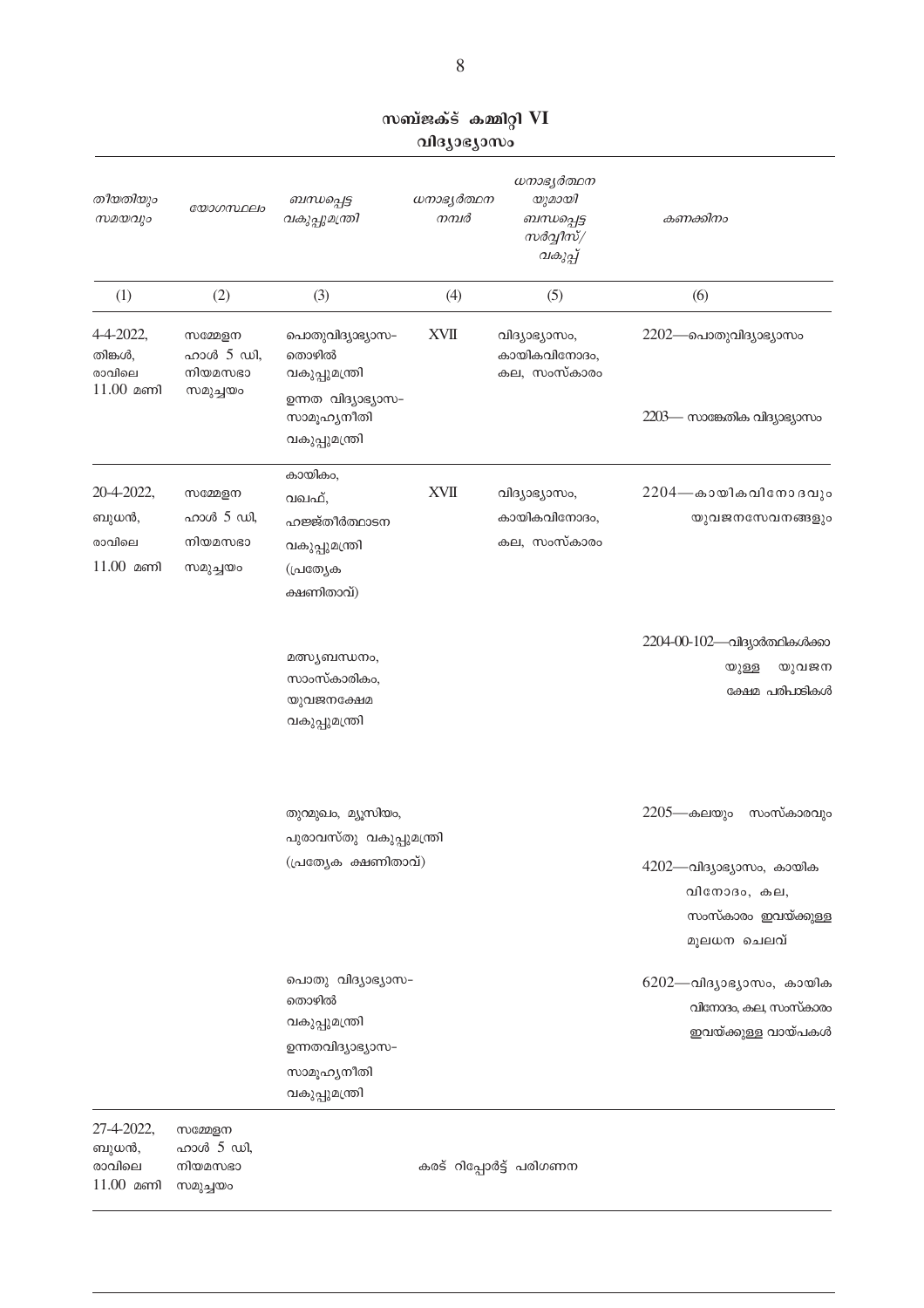| സബ്ജക്ട് കമ്മിറ്റി VI |              |  |
|-----------------------|--------------|--|
|                       | വിദ്യാഭ്യാസം |  |

| തീയതിയും<br>സമയവും                            | യോഗസ്ഥലം                                      | ബന്ധപ്പെട്ട<br>വകുപ്പുമന്ത്രി                                                                      | ധനാഭ്യർത്ഥന<br>നമ്പർ | ധനാഭ്യർത്ഥന<br>യുമായി<br>ബന്ധപ്പെട്ട<br>സർവ്വീസ്/<br>വകുപ്പ് | കണക്കിനം                                                                                                   |
|-----------------------------------------------|-----------------------------------------------|----------------------------------------------------------------------------------------------------|----------------------|--------------------------------------------------------------|------------------------------------------------------------------------------------------------------------|
| (1)                                           | (2)                                           | (3)                                                                                                | (4)                  | (5)                                                          | (6)                                                                                                        |
| 4-4-2022,<br>തിങ്കൾ,<br>രാവിലെ<br>$11.00$ മണി | സമ്മേളന<br>ഹാൾ 5 ഡി,<br>നിയമസഭാ<br>സമുച്ചയം   | പൊതുവിദ്യാഭ്യാസ-<br>തൊഴിൽ<br>വകുപ്പുമന്ത്രി<br>ഉന്നത വിദ്യാഭ്യാസ-<br>സാമൂഹ്യനീതി                   | <b>XVII</b>          | വിദ്യാഭ്യാസം,<br>കായികവിനോദം,<br>കല, സംസ്കാരം                | 2202—പൊതുവിദ്യാഭ്യാസം<br>$2203$ — സാങ്കേതിക വിദ്യാഭ്യാസം                                                   |
| 20-4-2022,<br>ബുധൻ,<br>രാവിലെ<br>$11.00$ മണി  | സമ്മേളന<br>ഹാൾ $5$ ഡി,<br>നിയമസഭാ<br>സമുച്ചയം | വകുപ്പുമന്ത്രി<br>കായികം,<br>വഖഫ്,<br>ഹജ്ജ്തീർത്ഥാടന<br>വകുപ്പുമന്ത്രി<br>(പ്രത്യേക<br>ക്ഷണിതാവ്)  | <b>XVII</b>          | വിദ്യാഭ്യാസം,<br>കായികവിനോദം,<br>കല, സംസ്കാരം                | $2204$ —കായികവിനോദവും<br>യുവജനസേവനങ്ങളും                                                                   |
|                                               |                                               | മത്സ്യബന്ധനം,<br>സാംസ്കാരികം,<br>യുവജനക്ഷേമ<br>വകുപ്പുമന്ത്രി                                      |                      |                                                              | 2204-00-102-പിദ്യാർത്ഥികൾക്കാ<br>യുവജന<br>യുള്ള<br>ക്ഷേമ പരിപാടികൾ                                         |
|                                               |                                               | തുറമുഖം, മ്യൂസിയം,<br>പുരാവസ്തു വകുപ്പുമന്ത്രി<br>(പ്രത്യേക ക്ഷണിതാവ്)                             |                      |                                                              | 2205—കലയും<br>സംസ്കാരവും<br>4202—വിദ്യാഭ്യാസം, കായിക<br>വിനോദം, കല,<br>സംസ്കാരം ഇവയ്ക്കുള്ള<br>മൂലധന ചെലവ് |
|                                               |                                               | പൊതു വിദ്യാഭ്യാസ–<br>തൊഴിൽ<br>വകുപ്പുമന്ത്രി<br>ഉന്നതവിദ്യാഭ്യാസ-<br>സാമൂഹ്യനീതി<br>വകുപ്പുമന്ത്രി |                      |                                                              | $6202$ —വിദ്യാഭ്യാസം, കായിക<br>വിനോദം, കല, സംസ്കാരം<br>ഇവയ്ക്കുള്ള വായ്പകൾ                                 |
| 27-4-2022,<br>ബുധൻ,<br>രാവിലെ<br>$11.00$ മണി  | സമ്മേളന<br>ഹാൾ 5 ഡി,<br>നിയമസഭാ<br>സമുച്ചയം   |                                                                                                    |                      | കരട് റിപ്പോർട്ട് പരിഗണന                                      |                                                                                                            |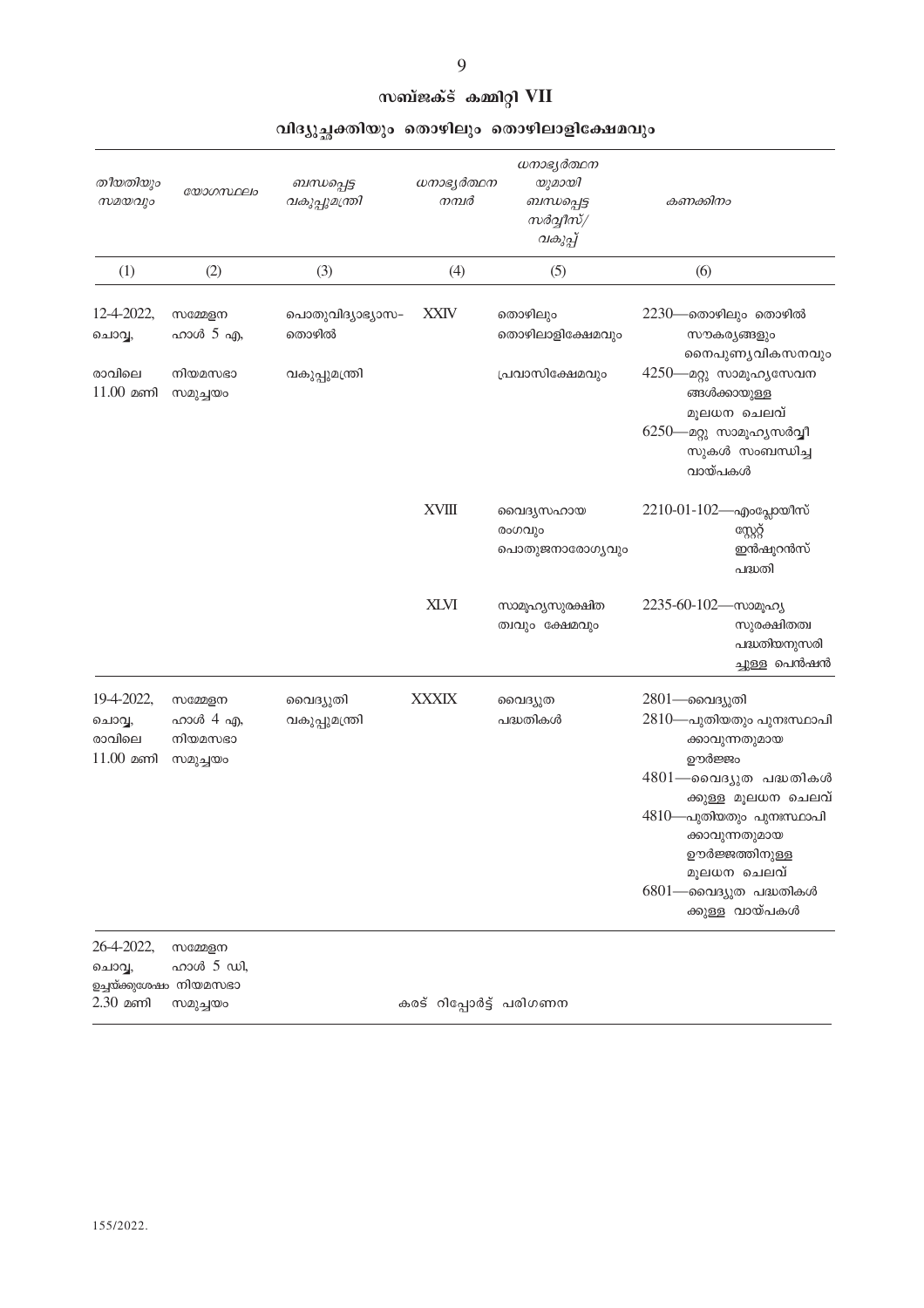#### സബ്ജക്ട് കമ്മിറ്റി VII

| തീയതിയും<br>$w$ 20 $q$                                       | യോഗസ്ഥലം                                   | ബന്ധപ്പെട്ട<br>വകുപ്പുമന്ത്രി | ധനാഭ്യർത്ഥന<br>നമ്പർ    | ധനാഭ്യർത്ഥന<br>യുമായി<br>ബന്ധപ്പെട്ട<br>സർവ്വീസ്/<br>വകുപ്പ് | കണക്കിനം                                                                                                                                                                                                                                         |
|--------------------------------------------------------------|--------------------------------------------|-------------------------------|-------------------------|--------------------------------------------------------------|--------------------------------------------------------------------------------------------------------------------------------------------------------------------------------------------------------------------------------------------------|
| (1)                                                          | (2)                                        | (3)                           | (4)                     | (5)                                                          | (6)                                                                                                                                                                                                                                              |
| 12-4-2022,<br>ചൊവ്വ,                                         | സമ്മേളന<br>ഹാൾ $5$ എ,                      | പൊതുവിദ്യാഭ്യാസ–<br>തൊഴിൽ     | <b>XXIV</b>             | തൊഴിലും<br>തൊഴിലാളിക്ഷേമവും                                  | $2230$ —തൊഴിലും തൊഴിൽ<br>സൗകര്യങ്ങളും<br>നൈപുണൃവികസനവും                                                                                                                                                                                          |
| രാവിലെ<br>$11.00$ മണി                                        | നിയമസഭാ<br>സമുച്ചയം                        | വകുപ്പുമന്ത്രി                |                         | പ്രവാസിക്ഷേമവും                                              | 4250—മറ്റു സാമൂഹ്യസേവന<br>ങ്ങൾക്കായുള്ള<br>മൂലധന ചെലവ്<br>6250—മറ്റു സാമൂഹ്യസർവ്വീ<br>സുകൾ സംബന്ധിച്ച<br>വായ്പകൾ                                                                                                                                 |
|                                                              |                                            |                               | <b>XVIII</b>            | വൈദൃസഹായ<br>രംഗവും<br>പൊതുജനാരോഗൃവും                         | $2210-01-102$ —എംപ്ലോയീസ്<br>സ്റ്റേറ്റ്<br>ഇൻഷൂറൻസ്<br>പദ്ധതി                                                                                                                                                                                    |
|                                                              |                                            |                               | <b>XLVI</b>             | സാമൂഹ്യസുരക്ഷിത<br>ത്വവും ക്ഷേമവും                           | 2235-60-102-സാമൂഹ്യ<br>സുരക്ഷിതത്വ<br>പദ്ധതിയനുസരി<br>ച്ചുള്ള പെൻഷൻ                                                                                                                                                                              |
| 19-4-2022,<br>ചൊവ്വ,<br>രാവിലെ<br>$11.00$ മണി                | സമ്മേളന<br>ഹാൾ 4 എ,<br>നിയമസഭാ<br>സമുച്ചയം | വൈദ്യുതി<br>വകുപ്പുമന്ത്രി    | <b>XXXIX</b>            | വൈദ്യുത<br>പദ്ധതികൾ                                          | 2801—വൈദ്യുതി<br>2810—പുതിയതും പുനഃസ്ഥാപി<br>ക്കാവുന്നതുമായ<br>ഊർജ്ജം<br>4801—വൈദ്യുത പദ്ധതികൾ<br>ക്കുള്ള മൂലധന ചെലവ്<br>4810—പുതിയതും പുനഃസ്ഥാപി<br>ക്കാവുന്നതുമായ<br>ഊർജ്ജത്തിനുള്ള<br>മൂലധന ചെലവ്<br>6801—വൈദ്യുത പദ്ധതികൾ<br>ക്കുള്ള വായ്പകൾ |
| 26-4-2022,<br>ചൊവ്വ,<br>ഉച്ചയ്ക്കുശേഷം നിയമസഭാ<br>$2.30$ മണി | സമ്മേളന<br>ഹാൾ 5 ഡി,<br>സമുച്ചയം           |                               | കരട് റിപ്പോർട്ട് പരിഗണന |                                                              |                                                                                                                                                                                                                                                  |

#### വിദ്യുച്ഛക്തിയും തൊഴിലും തൊഴിലാളിക്ഷേമവും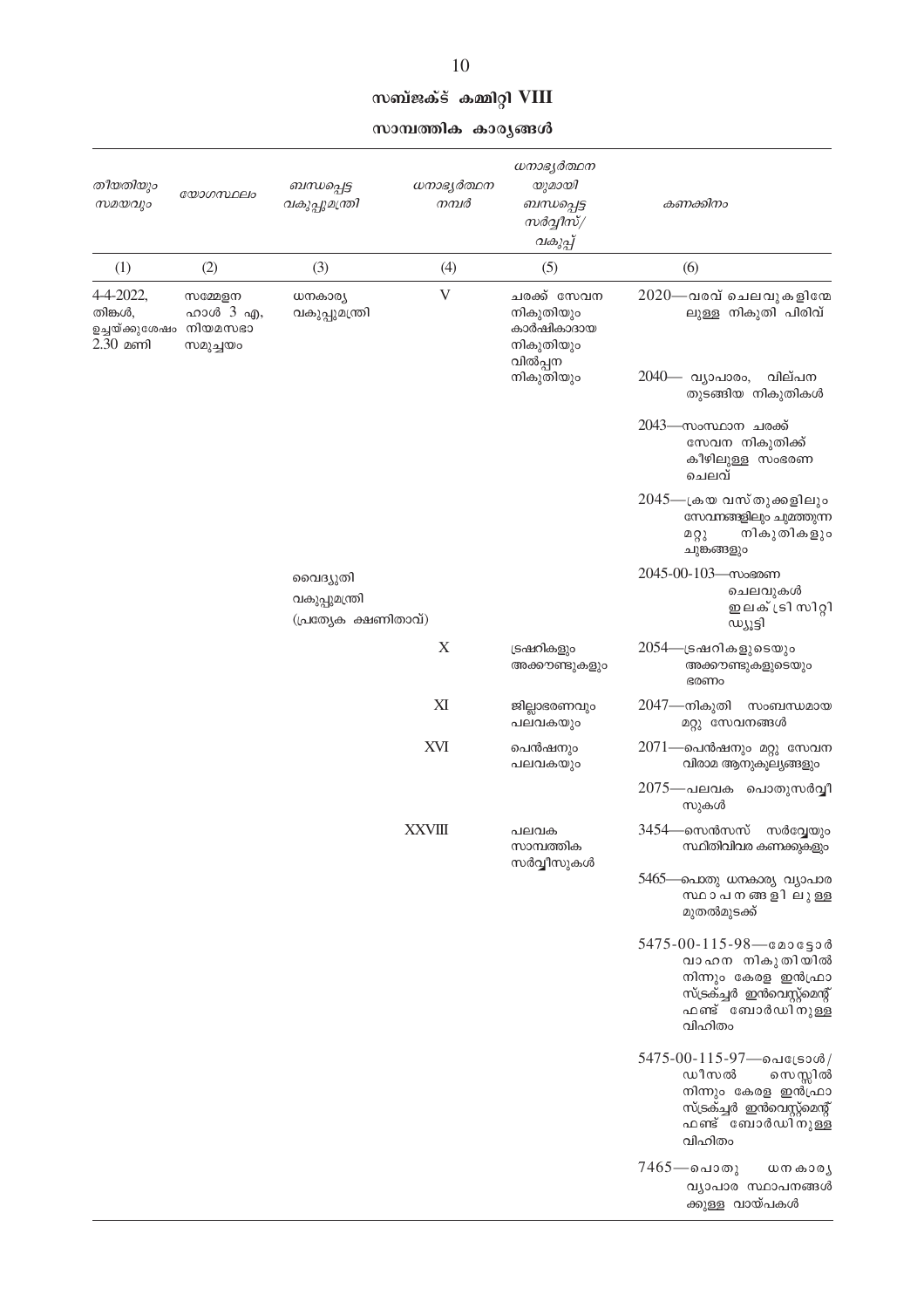|  | സബ്ജക്ട് കമ്മിറ്റി VIII |  |
|--|-------------------------|--|
|  |                         |  |

സാമ്പത്തിക കാരൃങ്ങൾ

| തീയതിയും<br>സമയവും                                           | യോഗസ്ഥലം                        | ബന്ധപ്പെട്ട<br>വകുപ്പുമന്ത്രി                      | ധനാഭ്യർത്ഥന<br>നമ്പർ | ധനാഭ്യർത്ഥന<br>യുമായി<br>ബന്ധപ്പെട്ട<br>സർവ്വീസ്/<br>വകുപ്പ്   | കണക്കിനം                                                                                                                                |                                                  |
|--------------------------------------------------------------|---------------------------------|----------------------------------------------------|----------------------|----------------------------------------------------------------|-----------------------------------------------------------------------------------------------------------------------------------------|--------------------------------------------------|
| (1)                                                          | (2)                             | (3)                                                | (4)                  | (5)                                                            | (6)                                                                                                                                     |                                                  |
| 4-4-2022,<br>തിങ്കൾ,<br>ഉച്ചയ്ക്കുശേഷം നിയമസഭാ<br>$2.30$ മണി | സമ്മേളന<br>ഹാൾ 3 എ,<br>സമുച്ചയം | ധനകാര്യ<br>വകുപ്പുമന്ത്രി                          | V                    | ചരക്ക് സേവന<br>നികുതിയും<br>കാർഷികാദായ<br>നികുതിയും<br>വിൽപ്പന | $2020$ —വരവ് ചെലവുകളിനേ<br>ലുള്ള നികുതി പിരിവ്                                                                                          |                                                  |
|                                                              |                                 |                                                    |                      | നികുതിയും                                                      | 2040— വ്യാപാരം,<br>വില്പന<br>തുടങ്ങിയ നികുതികൾ                                                                                          |                                                  |
|                                                              |                                 |                                                    |                      |                                                                | 2043—സംസ്ഥാന ചരക്ക്<br>സേവന നികുതിക്ക്<br>കീഴിലുള്ള സംഭരണ<br>ചെലവ്                                                                      |                                                  |
|                                                              |                                 |                                                    |                      |                                                                | 2045—ക്രയ വസ്തുക്കളിലും<br>സേവനങ്ങളിലും ചുമ്ത്തുന്ന<br>നികുതികളും<br>മറ്റു<br>ചുങ്കങ്ങളും                                               |                                                  |
|                                                              |                                 | വൈദ്യുതി<br>വകുപ്പുമന്ത്രി<br>(പ്രത്യേക ക്ഷണിതാവ്) |                      |                                                                | 2045-00-103-സംഭരണ<br>ചെലവുകൾ<br>ഇലക് ട്രി സിറ്റി<br>ന്നീട്ടി                                                                            |                                                  |
|                                                              |                                 |                                                    |                      | X                                                              | ട്രഷറികളും<br>അക്കൗണ്ടുകളും                                                                                                             | 2054—ട്രഷറികളുടെയും<br>അക്കൗണ്ടുകളുടെയും<br>ഭരണം |
|                                                              |                                 |                                                    | XI                   | ജില്ലാഭരണവും<br>പലവകയും                                        | 2047—നികുതി<br>സംബന്ധമായ<br>മറ്റു സേവനങ്ങൾ                                                                                              |                                                  |
|                                                              |                                 |                                                    | XVI                  | പെൻഷനും<br>പലവകയും                                             | 2071—പെൻഷനും മറ്റു സേവന<br>വിരാമ ആനുകൂല്യങ്ങളും                                                                                         |                                                  |
|                                                              |                                 |                                                    |                      |                                                                | 2075—പലവക പൊതുസർവ്വീ<br>സുകൾ                                                                                                            |                                                  |
|                                                              |                                 |                                                    | <b>XXVIII</b>        | പലവക<br>സാമ്പത്തിക<br>സർവ്വീസുകൾ                               | 3454—സെൻസസ്<br>സർവ്വേയും<br>സ്ഥിതിവിവര കണക്കുകളും                                                                                       |                                                  |
|                                                              |                                 |                                                    |                      |                                                                | 5465—പൊതു ധനകാര്യ വ്യാപാര<br>സ്ഥാപനങ്ങളിലുള്ള<br>മുതൽമുടക്ക്                                                                            |                                                  |
|                                                              |                                 |                                                    |                      |                                                                | $5475 - 00 - 115 - 98$ - cases 3<br>വാഹന നികുതിയിൽ<br>നിന്നും കേരള ഇൻഫ്രാ<br>സ്ട്രക്ച്ചർ ഇൻവെസ്റ്റ്മെന്റ്<br>ഫണ്ട് ബോർഡിനുള്ള<br>വിഹിതം |                                                  |
|                                                              |                                 |                                                    |                      |                                                                | $5475 - 00 - 115 - 97$ - வடுமை<br>ഡീസൽ<br>സെസ്സിൽ<br>നിന്നും കേരള ഇൻഫ്രാ<br>സ്ട്രക്ച്ചർ ഇൻവെസ്റ്റ്മെന്റ്<br>ഫണ്ട് ബോർഡിനുള്ള<br>വിഹിതം  |                                                  |
|                                                              |                                 |                                                    |                      |                                                                | $7465$ —പൊതു<br>ധന കാര്യ<br>വ്യാപാര സ്ഥാപനങ്ങൾ<br>ക്കുള്ള വായ്പകൾ                                                                       |                                                  |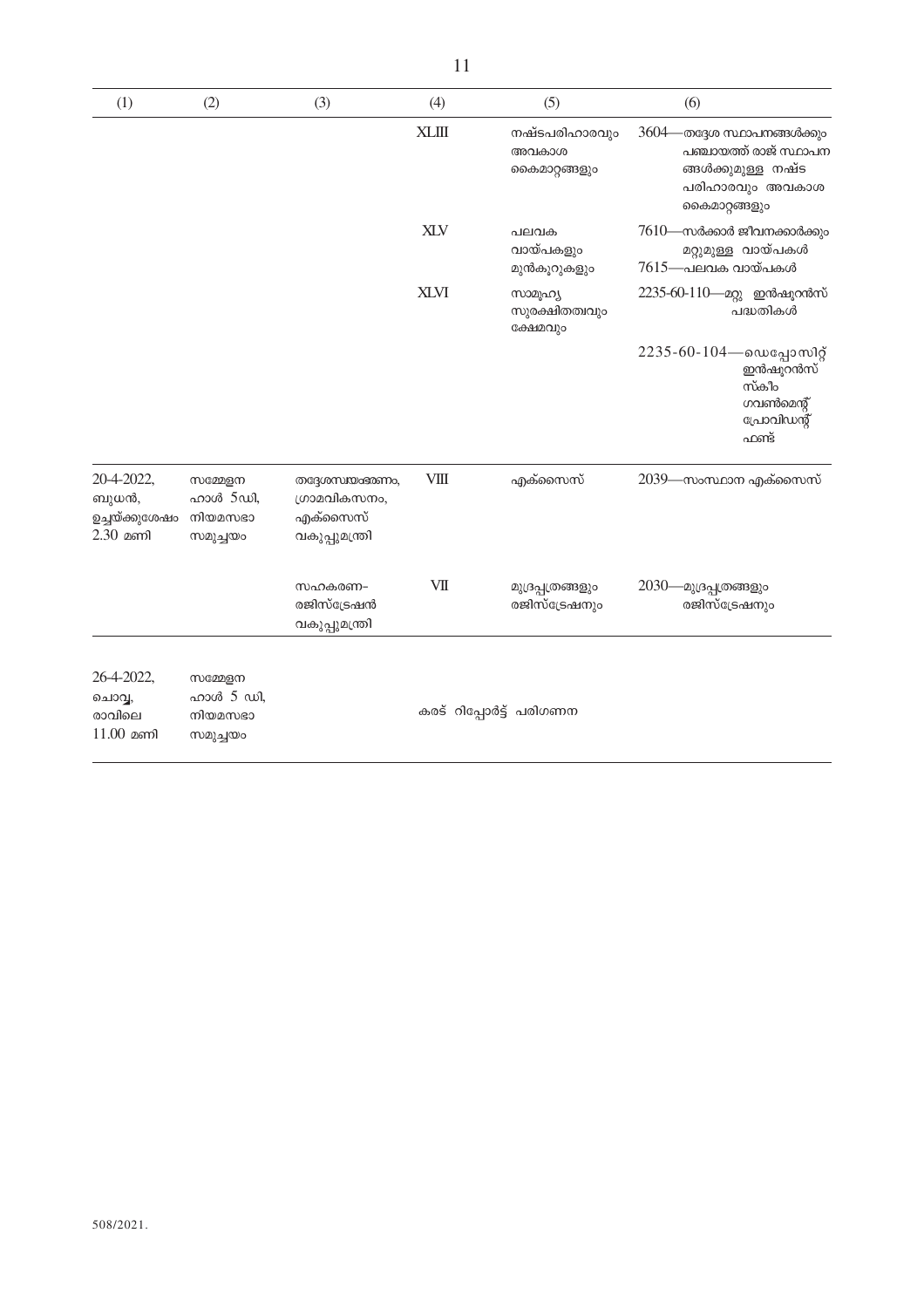| (1)                                                 | (2)                                         | (3)                                                            | (4)          | (5)                                     | (6)                                                                                                                     |
|-----------------------------------------------------|---------------------------------------------|----------------------------------------------------------------|--------------|-----------------------------------------|-------------------------------------------------------------------------------------------------------------------------|
|                                                     |                                             |                                                                | <b>XLIII</b> | നഷ്ടപരിഹാരവും<br>അവകാശ<br>കൈമാറ്റങ്ങളും | $3604 -$<br>-തദ്ദേശ സ്ഥാപനങ്ങൾക്കും<br>പഞ്ചായത്ത് രാജ് സ്ഥാപന<br>ങ്ങൾക്കുമുള്ള നഷ്ട<br>പരിഹാരവും അവകാശ<br>കൈമാറ്റങ്ങളും |
|                                                     |                                             |                                                                | <b>XLV</b>   | പലവക<br>വായ്പകളും<br>മുൻകൂറുകളും        | $7610$ —സർക്കാർ ജീവനക്കാർക്കും<br>മറ്റുമുള്ള വായ്പകൾ<br>$7615$ —പലവക വായ്പകൾ                                            |
|                                                     |                                             |                                                                | <b>XLVI</b>  | സാമൂഹ്യ<br>സുരക്ഷിതത്വവും<br>ക്ഷേമവും   | 2235-60-110- മറ്റു ഇൻഷൂറൻസ്<br>പദ്ധതികൾ                                                                                 |
|                                                     |                                             |                                                                |              |                                         | $2235 - 60 - 104$ —ഡെപ്പോസിറ്റ്<br>ഇൻഷൂറൻസ്<br>സ്കീം<br>ഗവൺമെന്റ്<br>പ്രോവിഡന്റ്<br>ഫണ്ട്                               |
| 20-4-2022,<br>ബുധൻ,<br>ഉച്ചയ്ക്കുശേഷം<br>$2.30$ മണി | സമ്മേളന<br>ഹാൾ 5ഡി,<br>നിയമസഭാ<br>സമുച്ചയം  | തദ്ദേശസ്ഥമ്മങ്ഞം,<br>ഗ്രാമവികസനം,<br>എക്സൈസ്<br>വകുപ്പുമന്ത്രി | <b>VIII</b>  | എക്സൈസ്                                 | 2039—സംസ്ഥാന എക്സൈസ്                                                                                                    |
|                                                     |                                             | സഹകരണ–<br>രജിസ്ട്രേഷൻ<br>വകുപ്പുമന്ത്രി                        | VII          | മുദ്രപ്പത്രങ്ങളും<br>രജിസ്ട്രേഷനും      | 2030—മുദ്രപ്പത്രങ്ങളും<br>രജിസ്ട്രേഷനും                                                                                 |
| 26-4-2022,<br>ചൊവ്വ,<br>രാവിലെ<br>$11.00$ മണി       | സമ്മേളന<br>ഹാൾ 5 ഡി,<br>നിയമസഭാ<br>സമുച്ചയം |                                                                |              | കരട് റിപ്പോർട്ട് പരിഗണന                 |                                                                                                                         |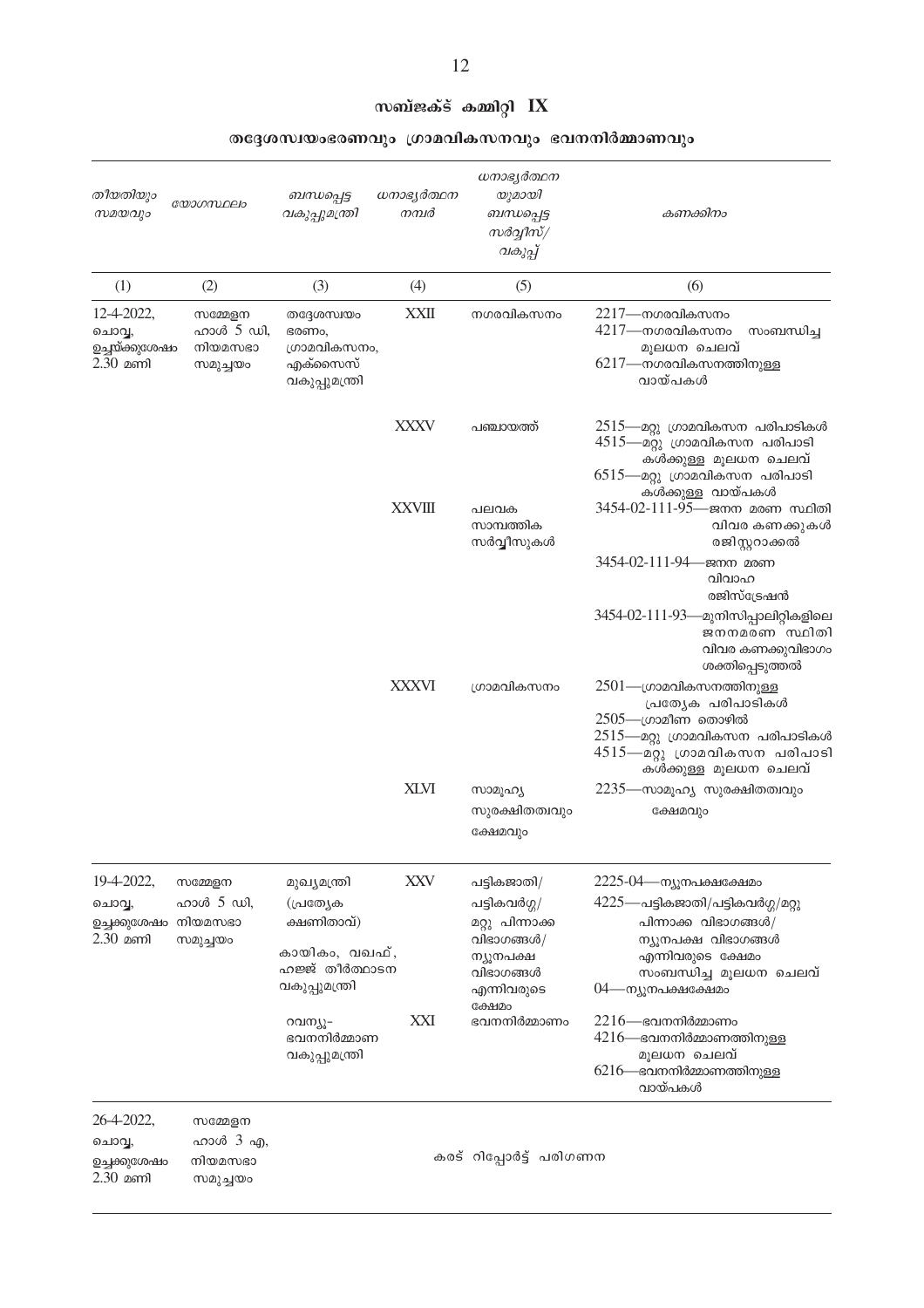| തീയതിയും<br>സമയവും                                         | യോഗസ്ഥലം                                    | ബന്ധപ്പെട്ട<br>വകുപ്പുമന്ത്രി                                                                            | ധനാഭ്യർത്ഥന<br>നമ്പർ | ധനാഭ്യർത്ഥന<br>യുമായി<br>ബന്ധപ്പെട്ട<br>സർവ്വീസ്/<br>വകുപ്പ്                                                                   | കണക്കിനം                                                                                                                                                                                                 |
|------------------------------------------------------------|---------------------------------------------|----------------------------------------------------------------------------------------------------------|----------------------|--------------------------------------------------------------------------------------------------------------------------------|----------------------------------------------------------------------------------------------------------------------------------------------------------------------------------------------------------|
| (1)                                                        | (2)                                         | (3)                                                                                                      | (4)                  | (5)                                                                                                                            | (6)                                                                                                                                                                                                      |
| 12-4-2022,<br>ചൊവ്വ,<br>ഉച്ചയ്ക്കുശേഷം<br>$2.30$ മണി       | സമ്മേളന<br>ഹാൾ 5 ഡി,<br>നിയമസഭാ<br>സമുച്ചയം | തദ്ദേശസ്വയം<br>ഭരണം,<br>ഗ്രാമവികസനം,<br>എക്സൈസ്<br>വകുപ്പുമന്ത്രി                                        | <b>XXII</b>          | നഗരവികസനം                                                                                                                      | $2217$ —നഗരവികസനം<br>4217—നഗരവികസനം<br>സംബന്ധിച്ച<br>മൂലധന ചെലവ്<br>6217—നഗരവികസനത്തിനുള്ള<br>വായ്പകൾ                                                                                                    |
|                                                            |                                             |                                                                                                          | <b>XXXV</b>          | പഞ്ചായത്ത്                                                                                                                     | 2515—മറ്റു ഗ്രാമവികസന പരിപാടികൾ<br>4515—മറ്റു ഗ്രാമവികസന പരിപാടി<br>കൾക്കുള്ള മൂലധന ചെലവ്<br>6515—മറ്റു ഗ്രാമവികസന പരിപാടി<br>കൾക്കുള്ള വായ്പകൾ                                                          |
|                                                            |                                             |                                                                                                          | <b>XXVIII</b>        | പലവക<br>സാമ്പത്തിക<br>സർവ്വീസുകൾ                                                                                               | 3454-02-111-95—ജനന മരണ സ്ഥിതി<br>വിവര കണക്കുകൾ<br>രജിസ്റ്ററാക്കൽ                                                                                                                                         |
|                                                            |                                             |                                                                                                          |                      |                                                                                                                                | 3454-02-111-94— ജനന മരണ<br>വിവാഹ<br>രജിസ്ട്രേഷൻ                                                                                                                                                          |
|                                                            |                                             |                                                                                                          |                      |                                                                                                                                | 3454-02-111-93—മുനിസിപ്പാലിറ്റികളിലെ<br>ജനനമരണ സ്ഥിതി<br>വിവര കണക്കുവിഭാഗം<br>ശക്തിപ്പെടുത്തൽ                                                                                                            |
|                                                            |                                             |                                                                                                          | <b>XXXVI</b>         | ശ്രാമവികസനം                                                                                                                    | $2501$ —ഗ്രാമവികസനത്തിനുള്ള<br>പ്രത്യേക പരിപാടികൾ<br>$2505$ —ഗ്രാമീണ തൊഴിൽ<br>2515—മറ്റു ഗ്രാമവികസന പരിപാടികൾ<br>4515—മറ്റു ശ്രാമവികസന പരിപാടി<br>കൾക്കുള്ള മൂലധന ചെലവ്                                  |
|                                                            |                                             |                                                                                                          | <b>XLVI</b>          | സാമൂഹ്യ<br>സുരക്ഷിതത്വവും<br>ക്ഷേമവും                                                                                          | 2235—സാമൂഹ്യ സുരക്ഷിതത്വവും<br>ക്ഷേമവും                                                                                                                                                                  |
| 19-4-2022,<br>ചൊവ്വ,<br>ഉച്ചക്കുശേഷം നിയമസഭാ<br>$2.30$ മണി | സമ്മേളന<br>ഹാൾ 5 ഡി,<br>സമുച്ചയം            | മുഖ്യമന്ത്രി<br>(പ്രത്യേക<br>ക്ഷണിതാവ്)<br>കായികം, വഖഫ്,<br>ഹജ്ജ് തീർത്ഥാടന<br>വകുപ്പുമന്ത്രി<br>റവന്യൂ- | <b>XXV</b><br>XXI    | പട്ടികജാതി/<br>പട്ടികവർഗ്ഗ/<br>മറ്റു പിന്നാക്ക<br>വിഭാഗങ്ങൾ/<br>ന്യൂനപക്ഷ<br>വിഭാഗങ്ങൾ<br>എന്നിവരുടെ<br>ക്ഷേമം<br>ഭവനനിർമ്മാണം | 2225-04—ന്യൂനപക്ഷക്ഷേമം<br>4225—പട്ടികജാതി/പട്ടികവർഗ്ഗ/മറ്റു<br>പിന്നാക്ക വിഭാഗങ്ങൾ/<br>ന്യൂനപക്ഷ വിഭാഗങ്ങൾ<br>എന്നിവരുടെ ക്ഷേമം<br>സംബന്ധിച്ച മൂലധന ചെലവ്<br>04—ന്യൂനപക്ഷക്ഷേമം<br>$2216$ —ഭവനനിർമ്മാണം |
|                                                            |                                             | ഭവനനിർമ്മാണ<br>വകുപ്പുമന്ത്രി                                                                            |                      |                                                                                                                                | $4216$ —ഭവനനിർമ്മാണത്തിനുള്ള<br>മൂലധന ചെലവ്<br>$6216$ —ഭവനനിർമ്മാണത്തിനുള്ള<br>വായ്പകൾ                                                                                                                   |
| 26-4-2022,<br>ചൊവ്വ,<br>ഉച്ചക്കുശേഷം<br>$2.30$ മണി         | സമ്മേളന<br>ഹാൾ 3 എ,<br>നിയമസഭാ<br>സമുച്ചയം  |                                                                                                          |                      | കരട് റിപ്പോർട്ട് പരിഗണന                                                                                                        |                                                                                                                                                                                                          |

തദ്ദേശസ്വയംഭരണവും ഗ്രാമവികസനവും ഭവനനിർമ്മാണവും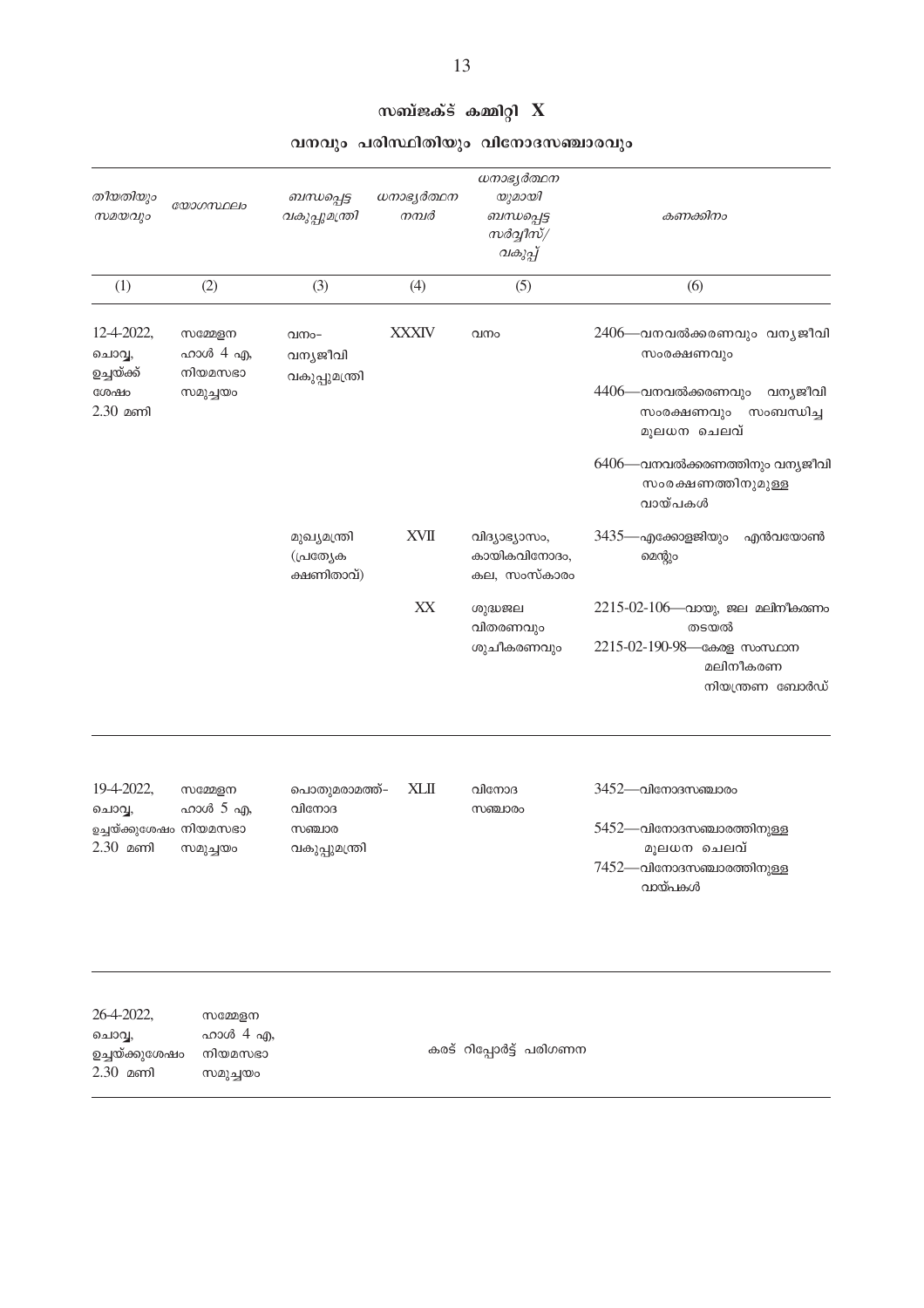| തീയതിയും<br>സമയവും               | യോഗസ്ഥലം            | ബന്ധപ്പെട്ട<br>വകുപ്പുമന്ത്രി           | ധനാഭ്യർത്ഥന<br>നമ്പർ | ധനാഭ്യർത്ഥന<br>യുമായി<br>ബന്ധപ്പെട്ട<br>$m$ ർവ്വീസ് $/$<br>വകുപ്പ് | കണക്കിനം                                                                                                 |
|----------------------------------|---------------------|-----------------------------------------|----------------------|--------------------------------------------------------------------|----------------------------------------------------------------------------------------------------------|
| (1)                              | (2)                 | (3)                                     | (4)                  | (5)                                                                | (6)                                                                                                      |
| 12-4-2022,<br>ചൊവ്വ,             | സമ്മേളന<br>ഹാൾ 4 എ, | വനം-<br>വന്യജീവി                        | <b>XXXIV</b>         | വനം                                                                | 2406—വനവൽക്കരണവും വനൃജീവി<br>സംരക്ഷണവും                                                                  |
| ഉച്ചയ്ക്ക്<br>ശേഷം<br>$2.30$ മണി | നിയമസഭാ<br>സമുച്ചയം | വകുപ്പുമന്ത്രി                          |                      |                                                                    | 4406—വനവൽക്കരണവും<br>വന്യജീവി<br>സംരക്ഷണവും<br>സംബന്ധിച്ച<br>മൂലധന ചെലവ്                                 |
|                                  |                     |                                         |                      |                                                                    | 6406—വനവൽക്കരണത്തിനും വന്യജീവി<br>സംരക്ഷണത്തിനുമുള്ള<br>വായ്പകൾ                                          |
|                                  |                     | മുഖ്യമന്ത്രി<br>(പ്രത്യേക<br>ക്ഷണിതാവ്) | <b>XVII</b>          | വിദ്യാഭ്യാസം,<br>കായികവിനോദം,<br>കല, സംസ്കാരം                      | 3435—എക്കോളജിയും<br>എൻവയോൺ<br>മെന്റും                                                                    |
|                                  |                     |                                         | XX                   | ശുദ്ധജല<br>വിതരണവും<br>ശുചീകരണവും                                  | $2215-02-106$ —വായു, ജല മലിനീകരണം<br>തടയൽ<br>2215-02-190-98- കേരള സംസ്ഥാന<br>മലിനീകരണ<br>നിയന്ത്രണ ബോർഡ് |
| 19-4-2022,<br>ചൊവ്വ,             | സമ്മേളന<br>ഹാൾ 5 എ, | പൊതുമരാമത്ത്–<br>വിനോദ                  | <b>XLII</b>          | വിനോദ<br>സഞ്ചാരം                                                   | $3452$ —വിനോദസഞ്ചാരം                                                                                     |
| ഉച്ചയ്ക്കുശേഷം നിയമസഭാ           |                     | സഞ്ചാര                                  |                      |                                                                    | 5452—വിനോദസഞ്ചാരത്തിനുള്ള                                                                                |

#### സബ്ജക്ട് കമ്മിറ്റി  $\hat{\mathbf{X}}$

#### വനവും പരിസ്ഥിതിയും വിനോദസഞ്ചാരവും

26-4-2022, സമ്മേളന<br>ചൊവ്വ, ഹാൾ 4 എ,  $2.30$  aml സമുച്ചയം

സമുച്ചയം

വകുപ്പുമന്ത്രി

 $2.30$  മണി

കരട് റിപ്പോർട്ട് പരിഗണന

മൂലധന ചെലവ്

 $7452$ —വിനോദസഞ്ചാരത്തിനുള്ള വായ്പകൾ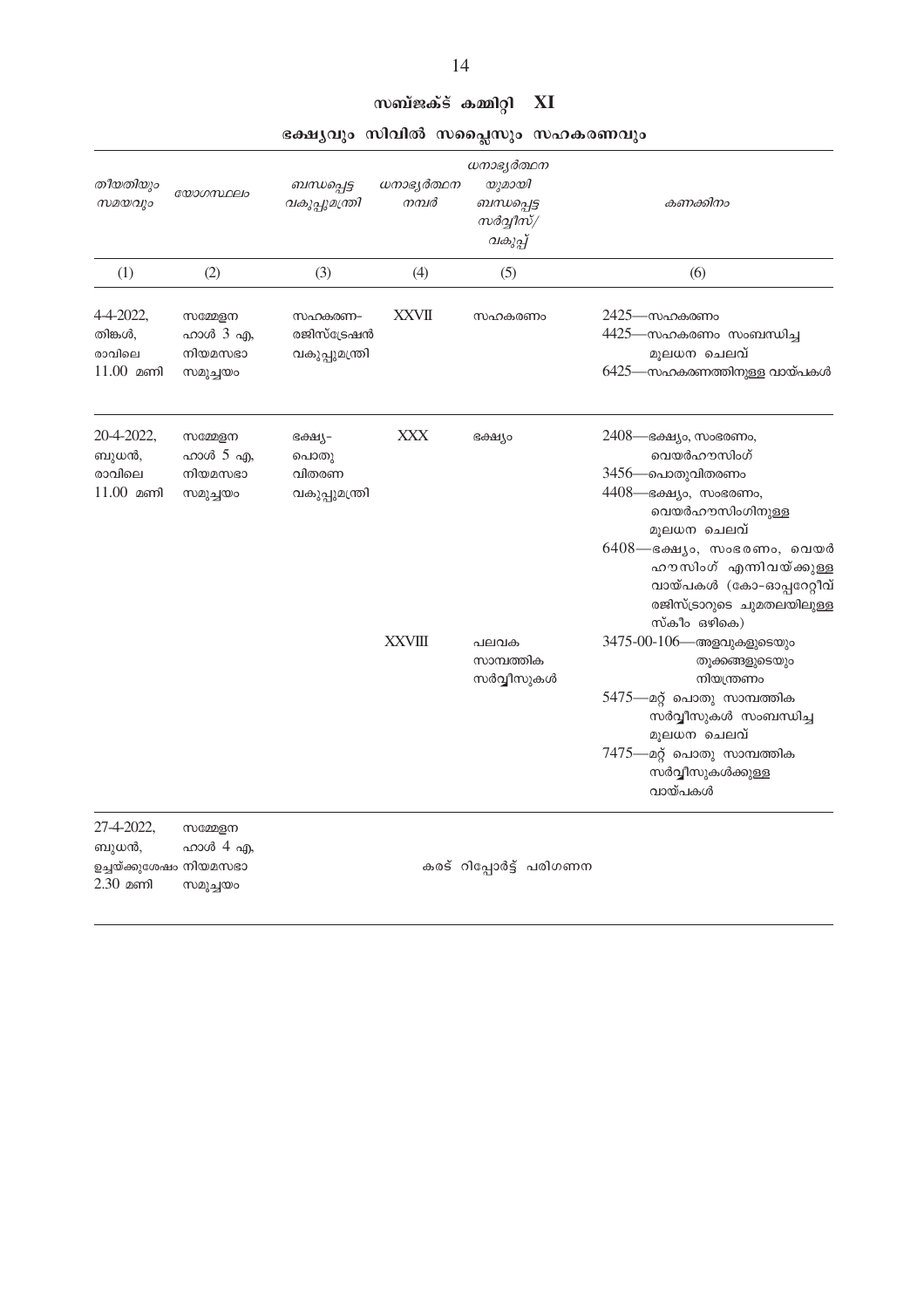| തീയതിയും<br>സമയവും                                          | യോഗസ്ഥലം                                   | ബന്ധപ്പെട്ട<br>വകുപ്പുമന്ത്രി              | ധനാഭ്യർത്ഥന<br>നമ്പർ | ധനാഭ്യർത്ഥന<br>യുമായി<br>ബന്ധപ്പെട്ട<br>സർവ്വീസ്/<br>വകുപ്പ് | കണക്കിനം                                                                                                                           |
|-------------------------------------------------------------|--------------------------------------------|--------------------------------------------|----------------------|--------------------------------------------------------------|------------------------------------------------------------------------------------------------------------------------------------|
| (1)                                                         | (2)                                        | (3)                                        | (4)                  | (5)                                                          | (6)                                                                                                                                |
| 4-4-2022,<br>തിങ്കൾ,<br>രാവിലെ<br>$11.00$ മണി               | സമ്മേളന<br>ഹാൾ 3 എ,<br>നിയമസഭാ<br>സമുച്ചയം | സഹകരണ–<br>രജിസ്ട്രേഷൻ<br>വകുപ്പുമന്ത്രി    | XXVII                | സഹകരണം                                                       | 2425—സഹകരണം<br>4425—സഹകരണം സംബന്ധിച്ച<br>മൂലധന ചെലവ്<br>6425—സഹകരണത്തിനുള്ള വായ്പകൾ                                                |
| 20-4-2022,<br>ബുധൻ,<br>രാവിലെ<br>$11.00$ മണി                | സമ്മേളന<br>ഹാൾ 5 എ,<br>നിയമസഭാ<br>സമുച്ചയം | ഭക്ഷ്യ–<br>പൊതു<br>വിതരണ<br>വകുപ്പുമന്ത്രി | <b>XXX</b>           | ഭക്ഷ്യം                                                      | 2408— ഭക്ഷ്യം, സംഭരണം,<br>വെയർഹൗസിംഗ്<br>3456—പൊതുവിതരണം<br>4408— ഭക്ഷ്യം, സംഭരണം,<br>വെയർഹൗസിംഗിനുള്ള<br>മൂലധന ചെലവ്              |
|                                                             |                                            |                                            |                      |                                                              | $6408$ —ഭക്ഷ്യം, സംഭരണം, വെയർ<br>ഹൗസിംഗ് എന്നിവയ്ക്കുള്ള<br>വായ്പകൾ (കോ-ഓപ്പറേറ്റീവ്<br>രജിസ്ട്രാറുടെ ചുമതലയിലുള്ള<br>സ്കീം ഒഴികെ) |
|                                                             |                                            |                                            | <b>XXVIII</b>        | പലവക<br>സാമ്പത്തിക<br>സർവ്വീസുകൾ                             | $3475 - 00 - 106$ —അളവുകളുടെയും<br>തൂക്കങ്ങളുടെയും<br>നിയന്ത്രണം<br>5475—മറ്റ് പൊതു സാമ്പത്തിക<br>സർവ്വീസുകൾ സംബന്ധിച്ച            |
|                                                             |                                            |                                            |                      |                                                              | മൂലധന ചെലവ്<br>$7475$ —മറ്റ് പൊതു സാമ്പത്തിക<br>സർവ്വീസുകൾക്കുള്ള<br>വായ്പകൾ                                                       |
| 27-4-2022,<br>ബുധൻ,<br>ഉച്ചയ്ക്കുശേഷം നിയമസഭാ<br>$2.30$ മണി | സമ്മേളന<br>ഹാൾ 4 എ,<br>സമുച്ചയം            |                                            |                      | കരട് റിപ്പോർട്ട് പരിഗണന                                      |                                                                                                                                    |

#### സബ്ജക്ട് കമ്മിറ്റി  $XI$

#### ഭക്ഷ്യവും സിവിൽ സപ്ലൈസും സഹകരണവും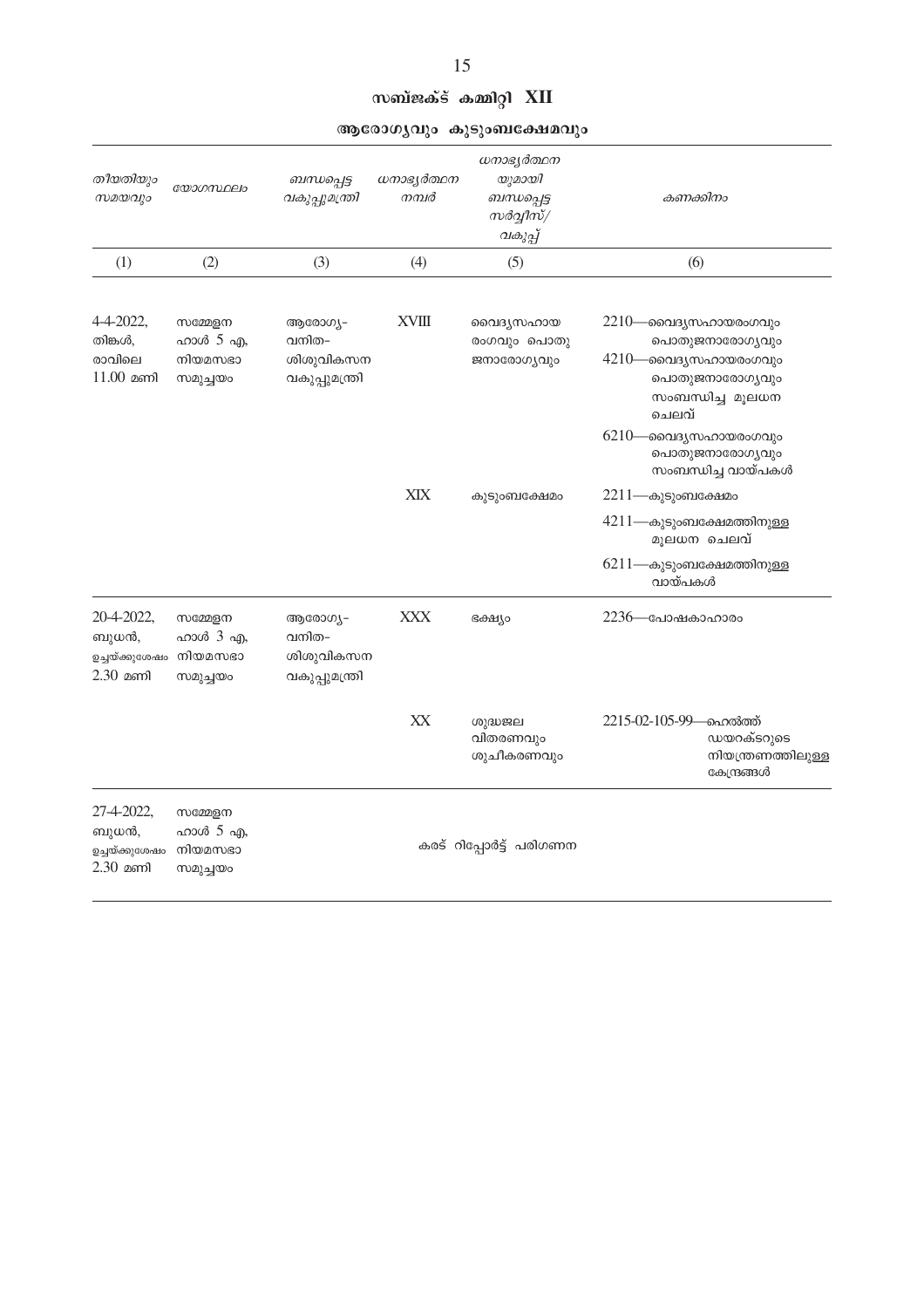|                                                     |                                            |                                                 |                      | ആരോഗൃവും കുടുംബക്ഷേമവും                                      |                                                                                                                                                             |
|-----------------------------------------------------|--------------------------------------------|-------------------------------------------------|----------------------|--------------------------------------------------------------|-------------------------------------------------------------------------------------------------------------------------------------------------------------|
| തീയതിയും<br>സമയവും                                  | യോഗസ്ഥലം                                   | ബന്ധപ്പെട്ട<br>വകുപ്പുമന്ത്രി                   | ധനാഭ്യർത്ഥന<br>നമ്പർ | ധനാഭ്യർത്ഥന<br>യുമായി<br>ബന്ധപ്പെട്ട<br>സർവ്വീസ്/<br>വകുപ്പ് | കണക്കിനം                                                                                                                                                    |
| (1)                                                 | (2)                                        | (3)                                             | (4)                  | (5)                                                          | (6)                                                                                                                                                         |
| 4-4-2022,<br>തിങ്കൾ,<br>രാവിലെ<br>$11.00$ മണി       | സമ്മേളന<br>ഹാൾ 5 എ,<br>നിയമസഭാ<br>സമുച്ചയം | ആരോഗ്യ–<br>വനിത–<br>ശിശുവികസന<br>വകുപ്പുമന്ത്രി | <b>XVIII</b>         | വൈദ്യസഹായ<br>രംഗവും പൊതു<br>ജനാരോഗ്യവും                      | 2210—വൈദ്യസഹായരംഗവും<br>പൊതുജനാരോഗ്യവും<br>4210—വൈദൃസഹായരംഗവും<br>പൊതുജനാരോഗ്യവും<br>സംബന്ധിച്ച മൂലധന<br>ചെലവ്<br>$6210$ —വൈദൃസഹായരംഗവും<br>പൊതുജനാരോഗ്യവും |
|                                                     |                                            |                                                 | XIX                  | കുടുംബക്ഷേമം                                                 | സംബന്ധിച്ച വായ്പകൾ<br>$2211$ —കുടുംബക്ഷേമം                                                                                                                  |
|                                                     |                                            |                                                 |                      |                                                              | 4211—കുടുംബക്ഷേമത്തിനുള്ള<br>മുലധന ചെലവ്                                                                                                                    |
|                                                     |                                            |                                                 |                      |                                                              | $6211$ —കുടുംബക്ഷേമത്തിനുള്ള<br>വായ്പകൾ                                                                                                                     |
| 20-4-2022,<br>ബുധൻ,<br>ഉച്ചയ്ക്കുശേഷം<br>$2.30$ മണി | സമ്മേളന<br>ഹാൾ 3 എ,<br>നിയമസഭാ<br>സമുച്ചയം | ആരോഗ്യ–<br>വനിത–<br>ശിശുവികസന<br>വകുപ്പുമന്ത്രി | XXX                  | ഭക്ഷ്യം                                                      | 2236—പോഷകാഹാരം                                                                                                                                              |
|                                                     |                                            |                                                 | XX                   | ശുദ്ധജല<br>വിതരണവും<br>ശുചീകരണവും                            | 2215-02-105-99—ഹെൽത്ത്<br>ഡയറക്ടറുടെ<br>നിയന്ത്രണത്തിലുള്ള<br>കേന്ദ്രങ്ങൾ                                                                                   |
| 27-4-2022,<br>ബുധൻ,<br>ഉച്ചയ്ക്കുശേഷം<br>2.30 മണി   | സമ്മേളന<br>ഹാൾ 5 എ,<br>നിയമസഭാ<br>സമുച്ചയം |                                                 |                      | കരട് റിപ്പോർട്ട് പരിഗണന                                      |                                                                                                                                                             |

സബ്ജക്ട് കമ്മിറ്റി XII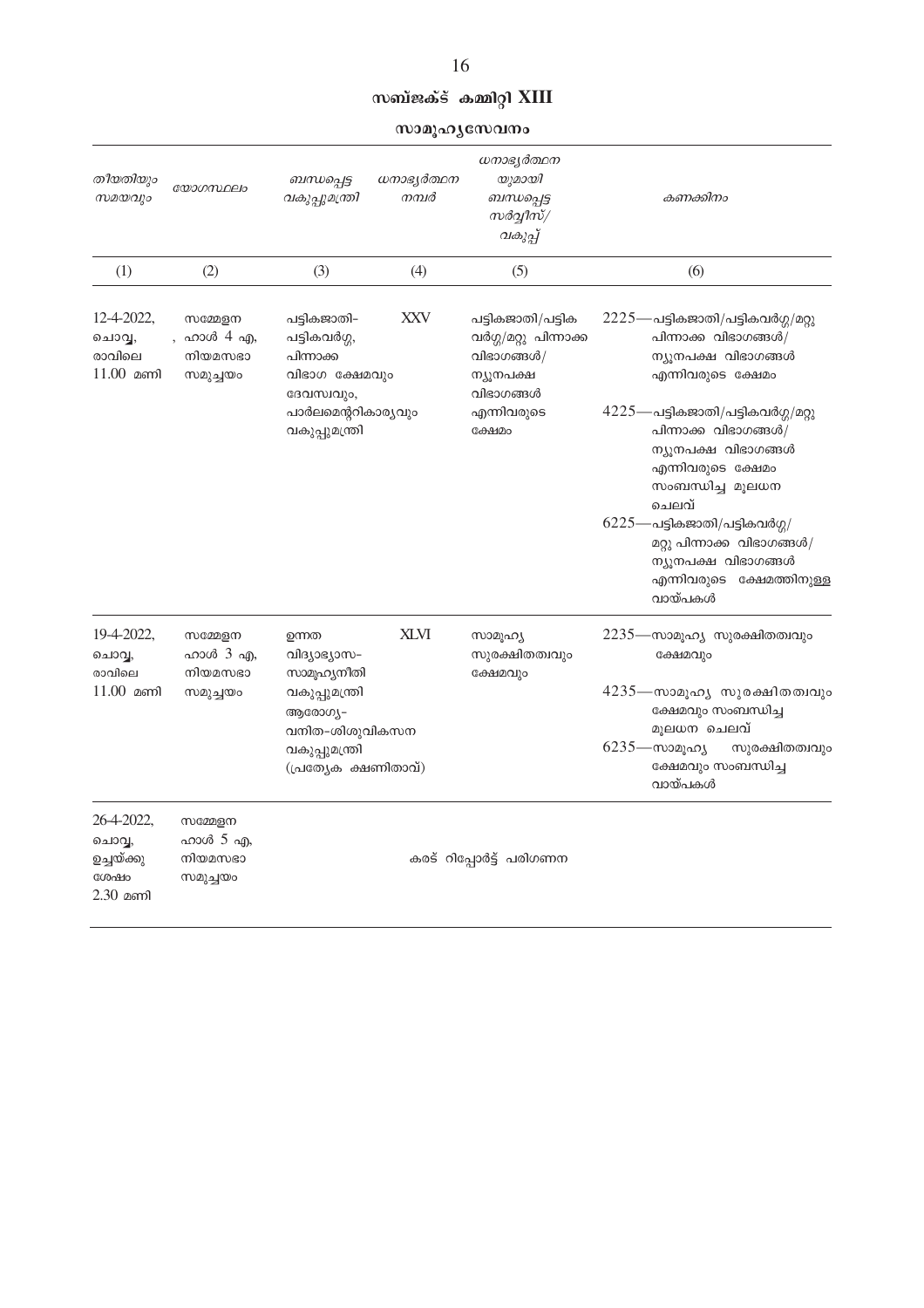### സബ്ജക്ട് കമ്മിറ്റി $\chi$ III

സാമൂഹൃസേവനം

| തീയതിയും<br>സമയവും                                     | യോഗസ്ഥലം                                   | ബന്ധപ്പെട്ട<br>വകുപ്പുമന്ത്രി                                                                        | ധനാഭ്യർത്ഥന<br>നമ്പർ | ധനാഭ്യർത്ഥന<br>യുമായി<br>ബന്ധപ്പെട്ട<br>സർവ്വീസ്/<br>വകുപ്പ്                       | കണക്കിനം                                                                                                                              |
|--------------------------------------------------------|--------------------------------------------|------------------------------------------------------------------------------------------------------|----------------------|------------------------------------------------------------------------------------|---------------------------------------------------------------------------------------------------------------------------------------|
| (1)                                                    | (2)                                        | (3)                                                                                                  | (4)                  | (5)                                                                                | (6)                                                                                                                                   |
| 12-4-2022,<br>ചൊവ്വ,<br>രാവിലെ<br>$11.00$ മണി          | സമ്മേളന<br>ഹാൾ 4 എ,<br>നിയമസഭാ<br>സമുച്ചയം | പട്ടികജാതി-<br>പട്ടികവർഗ്ഗ,<br>പിന്നാക്ക<br>വിഭാഗ ക്ഷേമവും<br>ദേവസ്വവും,                             | XXV                  | പട്ടികജാതി/പട്ടിക<br>വർഗ്ഗ/മറ്റു പിന്നാക്ക<br>വിഭാഗങ്ങൾ/<br>ന്യൂനപക്ഷ<br>വിഭാഗങ്ങൾ | $2225$ —പട്ടികജാതി/പട്ടികവർഗ്ഗ/മറ്റു<br>പിന്നാക്ക വിഭാഗങ്ങൾ/<br>ന്യൂനപക്ഷ വിഭാഗങ്ങൾ<br>എന്നിവരുടെ ക്ഷേമം                              |
|                                                        |                                            | പാർലമെന്ററികാര്യവും<br>വകുപ്പുമന്ത്രി                                                                |                      | എന്നിവരുടെ<br>ക്ഷേമം                                                               | $4225$ —പട്ടികജാതി/പട്ടികവർഗ്ഗ/മറ്റു<br>പിന്നാക്ക വിഭാഗങ്ങൾ/<br>ന്യൂനപക്ഷ വിഭാഗങ്ങൾ<br>എന്നിവരുടെ ക്ഷേമം<br>സംബന്ധിച്ച മൂലധന<br>ചെലവ് |
|                                                        |                                            |                                                                                                      |                      |                                                                                    | $6225$ —പട്ടികജാതി/പട്ടികവർഗ്ഗ/<br>മറ്റു പിന്നാക്ക വിഭാഗങ്ങൾ/<br>ന്യൂനപക്ഷ വിഭാഗങ്ങൾ<br>എന്നിവരുടെ ക്ഷേമത്തിനുള്ള<br>വായ്പകൾ          |
| 19-4-2022,<br>ചൊവ്വ,                                   | സമ്മേളന<br>ഹാൾ 3 എ,                        | ഉന്നത<br>വിദ്യാഭ്യാസ-                                                                                | <b>XLVI</b>          | സാമൂഹ്യ<br>സുരക്ഷിതത്വവും                                                          | 2235—സാമൂഹ്യ സുരക്ഷിതത്വവും<br>ക്ഷേമവും                                                                                               |
| രാവിലെ<br>$11.00$ മണി                                  | നിയമസഭാ<br>സമുച്ചയം                        | സാമൂഹ്യനീതി<br>വകുപ്പുമന്ത്രി<br>ആരോഗ്യ–<br>വനിത-ശിശുവികസന<br>വകുപ്പുമന്ത്രി<br>(പ്രത്യേക ക്ഷണിതാവ്) |                      | ക്ഷേമവും                                                                           | 4235—സാമൂഹ്യ സുരക്ഷിതത്വവും<br>ക്ഷേമവും സംബന്ധിച്ച                                                                                    |
|                                                        |                                            |                                                                                                      |                      |                                                                                    | മൂലധന ചെലവ്<br>$6235$ —സാമൂഹ്യ<br>സുരക്ഷിതത്വവും<br>ക്ഷേമവും സംബന്ധിച്ച<br>വായ്പകൾ                                                    |
| 26-4-2022,<br>ചൊവ്വ,<br>ഉച്ചയ്ക്കു<br>ശേഷം<br>2.30 മണി | സമ്മേളന<br>ഹാൾ 5 എ,<br>നിയമസഭാ<br>സമുച്ചയം | കരട് റിപ്പോർട്ട് പരിഗണന                                                                              |                      |                                                                                    |                                                                                                                                       |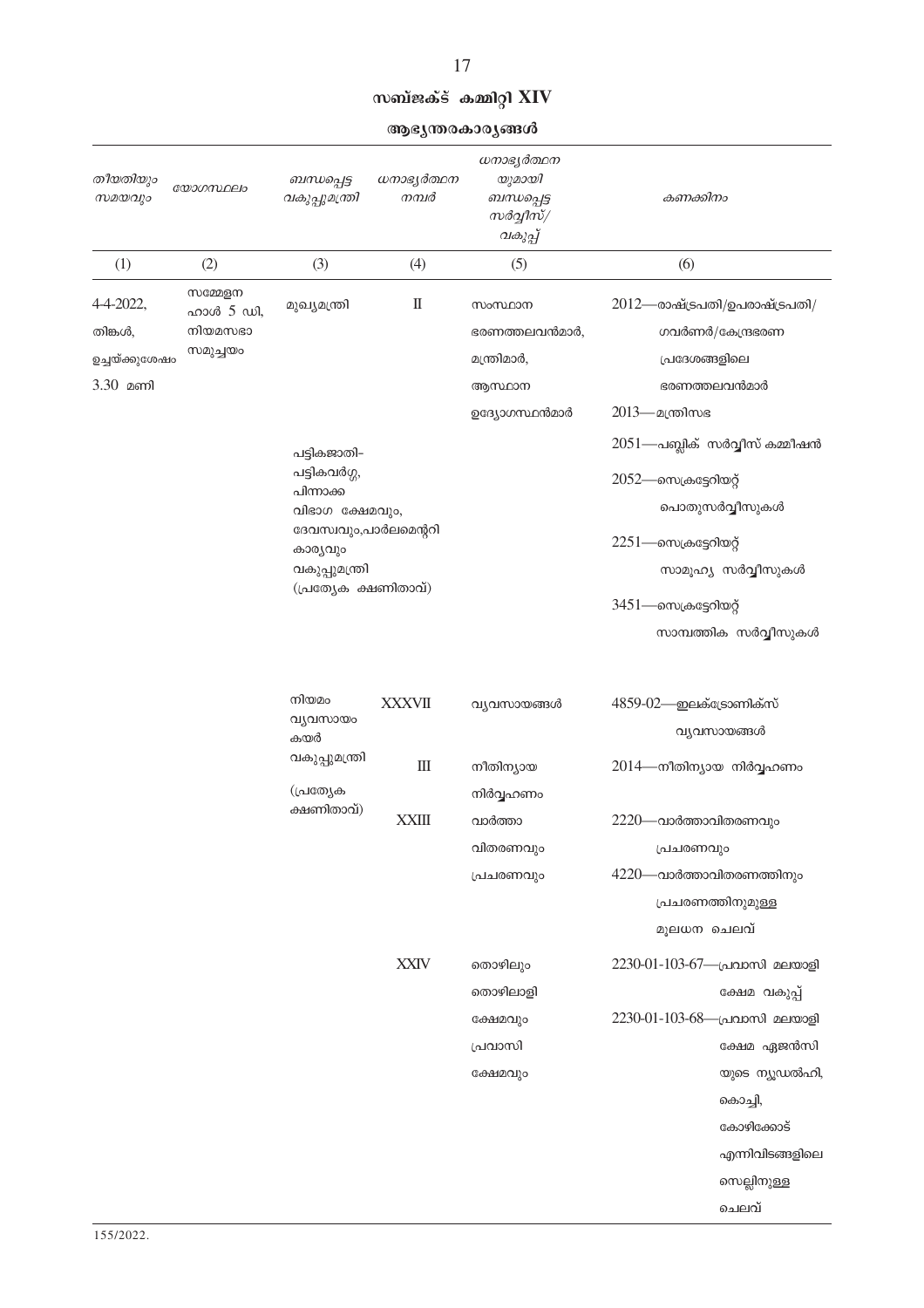#### സബ്ജക്ട് കമ്മിറ്റി $XIV$

17

ആഭ്യന്തരകാര്യങ്ങൾ

| തീയതിയും<br>സമയവും                                   | യോഗസ്ഥലം                                    | ബന്ധപ്പെട്ട<br>വകുപ്പുമന്ത്രി                                                                                                                              | ധനാഭ്യർത്ഥന<br>നമ്പർ   | ധനാഭ്യർത്ഥന<br>യുമായി<br>ബന്ധപ്പെട്ട<br>സർവ്വീസ്/<br>വകുപ്പ്       | കണക്കിനം                                                                                                                                                                                                                                                                                       |
|------------------------------------------------------|---------------------------------------------|------------------------------------------------------------------------------------------------------------------------------------------------------------|------------------------|--------------------------------------------------------------------|------------------------------------------------------------------------------------------------------------------------------------------------------------------------------------------------------------------------------------------------------------------------------------------------|
| (1)                                                  | (2)                                         | (3)                                                                                                                                                        | (4)                    | (5)                                                                | (6)                                                                                                                                                                                                                                                                                            |
| 4-4-2022,<br>തിങ്കൾ,<br>ഉച്ചയ്ക്കുശേഷം<br>$3.30$ മണി | സമ്മേളന<br>ഹാൾ 5 ഡി,<br>നിയമസഭാ<br>സമുച്ചയം | മുഖ്യമന്ത്രി<br>പട്ടികജാതി-<br>പട്ടികവർഗ്ഗ,<br>പിന്നാക്ക<br>വിഭാഗ ക്ഷേമവും,<br>ദേവസ്വവും,പാർലമെന്ററി<br>കാര്യവും<br>വകുപ്പുമന്ത്രി<br>(പ്രത്യേക ക്ഷണിതാവ്) | $\rm I\hspace{-.1em}I$ | സംസ്ഥാന<br>ഭരണത്തലവൻമാർ,<br>മന്ത്രിമാർ,<br>ആസ്ഥാന<br>ഉദ്യോഗസ്ഥൻമാർ | $2012$ —രാഷ്ട്രപതി/ഉപരാഷ്ട്രപതി/<br>ഗവർണർ/കേന്ദ്രഭരണ<br>പ്രദേശങ്ങളിലെ<br>ഭരണത്തലവൻമാർ<br>2013— മന്ത്രിസഭ<br>$2051$ —പബ്ലിക് സർവ്വീസ് കമ്മീഷൻ<br>$2052$ —സെക്രട്ടേറിയറ്റ്<br>പൊതുസർവ്വീസുകൾ<br>$2251$ —സെക്രട്ടേറിയറ്റ്<br>സാമൂഹ്യ സർവ്വീസുകൾ<br>3451—സെക്രട്ടേറിയറ്റ്<br>സാമ്പത്തിക സർവ്വീസുകൾ |
|                                                      |                                             | നിയമം<br>വ്യവസായം<br>കയർ                                                                                                                                   | <b>XXXVII</b>          | വ്യവസായങ്ങൾ                                                        | 4859-02—ഇലക്ട്രോണിക്സ്<br>വ്യവസായങ്ങൾ                                                                                                                                                                                                                                                          |
|                                                      |                                             | വകുപ്പുമന്ത്രി<br>(പ്രത്യേക                                                                                                                                | $\rm III$              | നീതിന്യായ<br>നിർവ്വഹണം                                             | 2014—നീതിന്യായ നിർവ്വഹണം                                                                                                                                                                                                                                                                       |
|                                                      |                                             | ക്ഷണിതാവ്)                                                                                                                                                 | <b>XXIII</b>           | വാർത്താ<br>വിതരണവും<br>പ്രചരണവും                                   | 2220—വാർത്താവിതരണവും<br>പ്രചരണവും<br>$4220$ —വാർത്താവിതരണത്തിനും<br>പ്രചരണത്തിനുമുള്ള<br>മൂലധന ചെലവ്                                                                                                                                                                                           |
|                                                      |                                             |                                                                                                                                                            | <b>XXIV</b>            | തൊഴിലും<br>തൊഴിലാളി<br>ക്ഷേമവും<br>പ്രവാസി<br>ക്ഷേമവും             | 2230-01-103-67-പ്രവാസി മലയാളി<br>ക്ഷേമ വകുപ്പ്<br>2230-01-103-68-പ്രവാസി മലയാളി<br>ക്ഷേമ ഏജൻസി<br>യുടെ ന്യൂഡൽഹി,<br>കൊച്ചി,<br>കോഴിക്കോട്<br>എന്നിവിടങ്ങളിലെ<br>സെല്ലിനുള്ള<br>ചെലവ്                                                                                                           |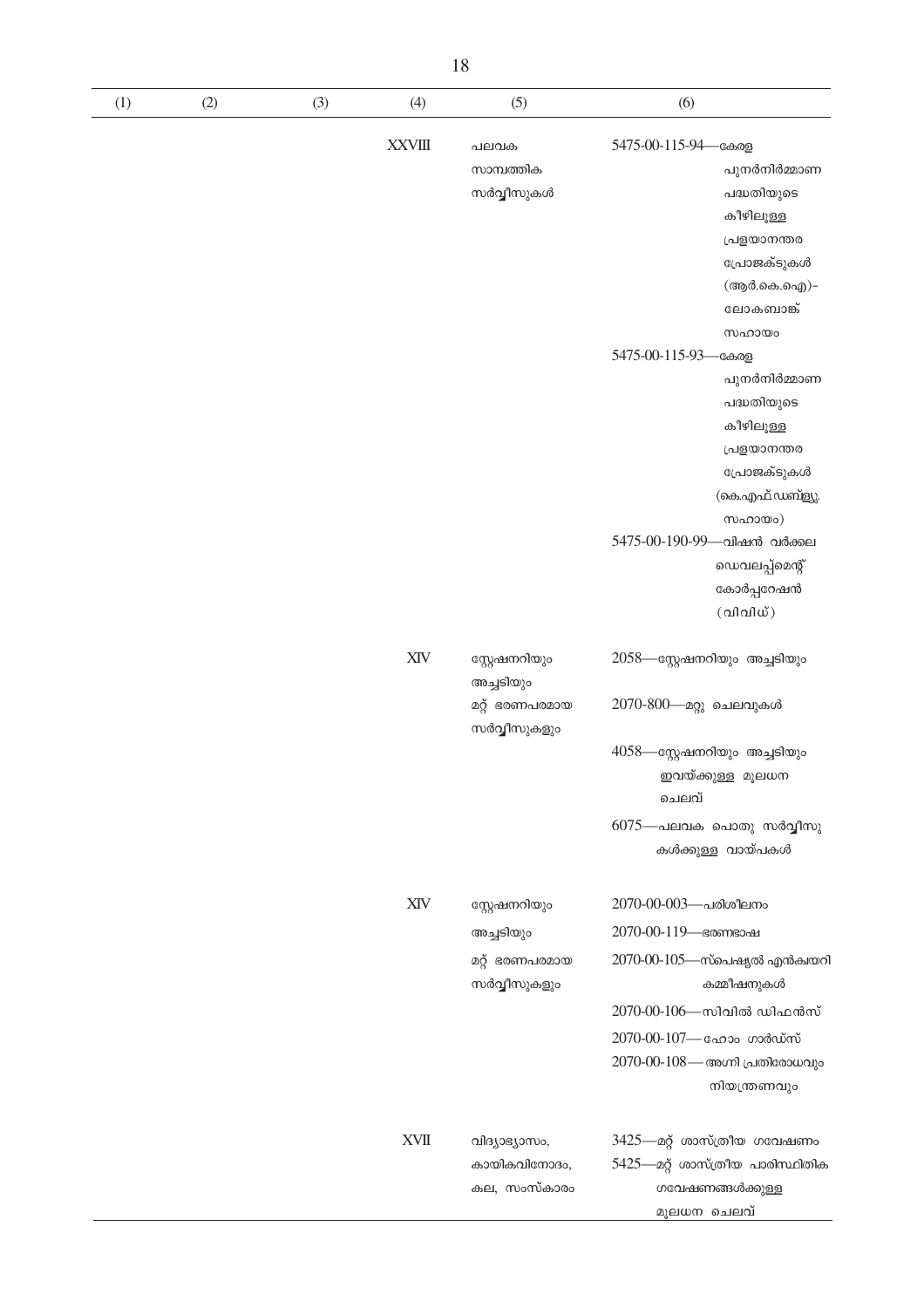| (1) | (2) | (3) | (4)                                        | (5)                                                          | (6)                                                                                                                                                                                                                                                                                                                                              |
|-----|-----|-----|--------------------------------------------|--------------------------------------------------------------|--------------------------------------------------------------------------------------------------------------------------------------------------------------------------------------------------------------------------------------------------------------------------------------------------------------------------------------------------|
|     |     |     | <b>XXVIII</b>                              | പലവക<br>സാമ്പത്തിക<br>സർവ്വീസുകൾ                             | 5475-00-115-94—കേരള<br>പുനർനിർമ്മാണ<br>പദ്ധതിയുടെ<br>കീഴിലുള്ള<br>പ്രളയാനന്തര<br>പ്രോജക്ടുകൾ<br>(ആർ.കെ.ഐ)-<br>ലോകബാങ്ക്<br>സഹായം<br>5475-00-115-93-<br>-കേരള<br>പുനർനിർമ്മാണ<br>പദ്ധതിയുടെ<br>കീഴിലുള്ള<br>പ്രളയാനന്തര<br>പ്രോജക്ടുകൾ<br>(കെ.എഫ്.ഡബ്ള്യു.<br>സഹായം)<br>5475-00-190-99—വിഷൻ വർക്കല<br>ഡെവലപ്പ്മെന്റ്<br>കോർപ്പറേഷൻ<br>$($ വിവിധ്) |
|     |     |     | XIV                                        | സ്റ്റേഷനറിയും<br>അച്ചടിയും<br>മറ്റ് ഭരണപരമായ<br>സർവ്വീസുകളും | 2058—സ്റ്റേഷനറിയും അച്ചടിയും<br>2070-800— മറ്റു ചെലവുകൾ<br>4058—സ്റ്റേഷനറിയും അച്ചടിയും<br>ഇവയ്ക്കുള്ള മൂലധന<br>ചെലവ്<br>$6075$ —പലവക പൊതു സർവ്വീസു<br>കൾക്കുള്ള വായ്പകൾ                                                                                                                                                                         |
|     |     |     | XIV                                        | സ്റ്റേഷനറിയും<br>അച്ചടിയും<br>മറ്റ് ഭരണപരമായ<br>സർവ്വീസുകളും | 2070-00-003-പരിശീലനം<br>2070-00-119- ഭരണഭാഷ<br>$2070$ -00- $105$ —സ്പെഷ്യൽ എൻക്വയറി<br>കമ്മീഷനുകൾ<br>2070-00-106—സിവിൽ ഡിഫൻസ്<br>2070-00-107- ഹോം ഗാർഡ്സ്<br>2070-00-108 — അഗ്നി പ്രതിരോധവും<br>നിയന്ത്രണവും                                                                                                                                     |
|     |     |     | $\mathbf{X}\mathbf{V}\mathbf{I}\mathbf{I}$ | വിദ്യാഭ്യാസം,<br>കായികവിനോദം,<br>കല, സംസ്കാരം                | 3425—മറ്റ് ശാസ്ത്രീയ ഗവേഷണം<br>5425—മറ്റ് ശാസ്ത്രീയ പാരിസ്ഥിതിക<br>ഗവേഷണങ്ങൾക്കുള്ള<br>മൂലധന ചെലവ്                                                                                                                                                                                                                                               |